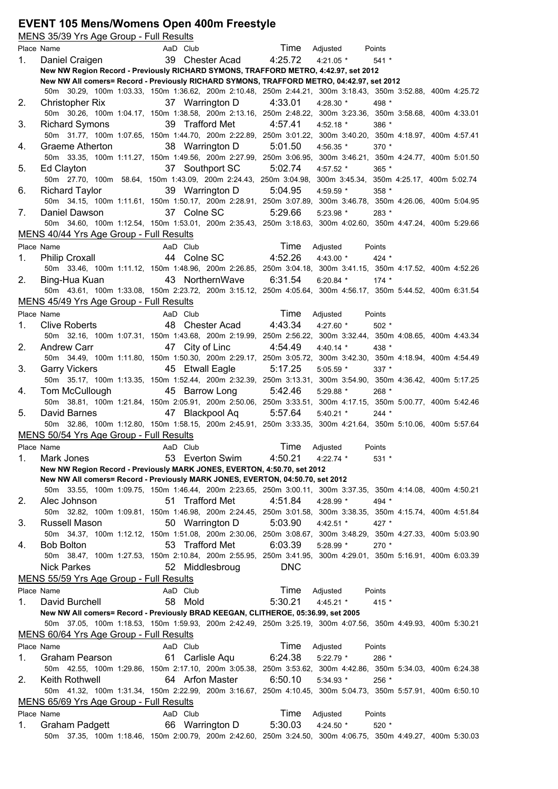#### **EVENT 105 Mens/Womens Open 400m Freestyle**

|    | MENS 35/39 Yrs Age Group - Full Results                                                                                             |          |                         |            |             |         |  |
|----|-------------------------------------------------------------------------------------------------------------------------------------|----------|-------------------------|------------|-------------|---------|--|
|    | Place Name                                                                                                                          | AaD Club |                         | Time       | Adjusted    | Points  |  |
| 1. | Daniel Craigen                                                                                                                      |          | 39 Chester Acad         | 4:25.72    | $4:21.05$ * | $541 *$ |  |
|    | New NW Region Record - Previously RICHARD SYMONS, TRAFFORD METRO, 4:42.97, set 2012                                                 |          |                         |            |             |         |  |
|    | New NW All comers= Record - Previously RICHARD SYMONS, TRAFFORD METRO, 04:42.97, set 2012                                           |          |                         |            |             |         |  |
|    | 50m 30.29, 100m 1:03.33, 150m 1:36.62, 200m 2:10.48, 250m 2:44.21, 300m 3:18.43, 350m 3:52.88, 400m 4:25.72                         |          |                         |            |             |         |  |
| 2. | Christopher Rix                                                                                                                     |          | 37 Warrington D         | 4:33.01    | 4:28.30 *   | 498 *   |  |
|    | 50m 30.26, 100m 1:04.17, 150m 1:38.58, 200m 2:13.16, 250m 2:48.22, 300m 3:23.36, 350m 3:58.68, 400m 4:33.01                         |          |                         |            |             |         |  |
| 3. | <b>Richard Symons</b>                                                                                                               |          | 39 Trafford Met         | 4:57.41    | 4:52.18 *   | 386 *   |  |
|    | 50m 31.77, 100m 1:07.65, 150m 1:44.70, 200m 2:22.89, 250m 3:01.22, 300m 3:40.20, 350m 4:18.97, 400m 4:57.41                         |          |                         |            |             |         |  |
| 4. | <b>Graeme Atherton</b>                                                                                                              |          | 38 Warrington D         | 5:01.50    | 4:56.35 *   | $370*$  |  |
|    | 50m 33.35, 100m 1:11.27, 150m 1:49.56, 200m 2:27.99, 250m 3:06.95, 300m 3:46.21, 350m 4:24.77, 400m 5:01.50                         |          |                         |            |             |         |  |
| 5. | Ed Clayton                                                                                                                          |          | 37 Southport SC         | 5:02.74    | 4:57.52 *   | 365 *   |  |
|    | 50m 27.70, 100m 58.64, 150m 1:43.09, 200m 2:24.43, 250m 3:04.98, 300m 3:45.34, 350m 4:25.17, 400m 5:02.74                           |          |                         |            |             |         |  |
| 6. | Richard Taylor                                                                                                                      |          | 39 Warrington D 5:04.95 |            | 4:59.59 *   | $358*$  |  |
|    | 50m 34.15, 100m 1:11.61, 150m 1:50.17, 200m 2:28.91, 250m 3:07.89, 300m 3:46.78, 350m 4:26.06, 400m 5:04.95                         |          |                         |            |             |         |  |
|    | Daniel Dawson                                                                                                                       |          | 37 Colne SC             |            |             |         |  |
| 7. |                                                                                                                                     |          |                         | 5:29.66    | $5:23.98$ * | 283 *   |  |
|    | 50m 34.60, 100m 1:12.54, 150m 1:53.01, 200m 2:35.43, 250m 3:18.63, 300m 4:02.60, 350m 4:47.24, 400m 5:29.66                         |          |                         |            |             |         |  |
|    | MENS 40/44 Yrs Age Group - Full Results                                                                                             |          |                         |            |             |         |  |
|    | Place Name                                                                                                                          | AaD Club |                         | Time       | Adjusted    | Points  |  |
| 1. | <b>Philip Croxall</b>                                                                                                               |          | 44 Colne SC 4:52.26     |            | 4:43.00 *   | $424 *$ |  |
|    | 50m 33.46, 100m 1:11.12, 150m 1:48.96, 200m 2:26.85, 250m 3:04.18, 300m 3:41.15, 350m 4:17.52, 400m 4:52.26                         |          |                         |            |             |         |  |
| 2. | Bing-Hua Kuan                                                                                                                       |          | 43 NorthernWave         | 6:31.54    | $6:20.84$ * | $174*$  |  |
|    | 50m 43.61, 100m 1:33.08, 150m 2:23.72, 200m 3:15.12, 250m 4:05.64, 300m 4:56.17, 350m 5:44.52, 400m 6:31.54                         |          |                         |            |             |         |  |
|    | MENS 45/49 Yrs Age Group - Full Results                                                                                             |          |                         |            |             |         |  |
|    | Place Name                                                                                                                          | AaD Club |                         | Time       | Adjusted    | Points  |  |
| 1. | Clive Roberts                                                                                                                       |          | 48 Chester Acad         | 4:43.34    | 4:27.60 *   | $502*$  |  |
|    | 50m 32.16, 100m 1:07.31, 150m 1:43.68, 200m 2:19.99, 250m 2:56.22, 300m 3:32.44, 350m 4:08.65, 400m 4:43.34                         |          |                         |            |             |         |  |
| 2. | <b>Andrew Carr</b>                                                                                                                  |          | 47 City of Linc         | 4:54.49    | 4:40.14 $*$ | 438 *   |  |
|    | 50m 34.49, 100m 1:11.80, 150m 1:50.30, 200m 2:29.17, 250m 3:05.72, 300m 3:42.30, 350m 4:18.94, 400m 4:54.49                         |          |                         |            |             |         |  |
| 3. |                                                                                                                                     |          | 45 Etwall Eagle         | 5:17.25    | $5:05.59$ * | 337 *   |  |
|    | <b>Garry Vickers</b><br>50m 35.17, 100m 1:13.35, 150m 1:52.44, 200m 2:32.39, 250m 3:13.31, 300m 3:54.90, 350m 4:36.42, 400m 5:17.25 |          |                         |            |             |         |  |
|    |                                                                                                                                     |          |                         |            |             |         |  |
| 4. | Tom McCullough                                                                                                                      |          | 45 Barrow Long          | 5:42.46    | 5:29.88 *   | 268 *   |  |
|    | 50m 38.81, 100m 1:21.84, 150m 2:05.91, 200m 2:50.06, 250m 3:33.51, 300m 4:17.15, 350m 5:00.77, 400m 5:42.46                         |          |                         |            |             |         |  |
| 5. | David Barnes                                                                                                                        |          | 47 Blackpool Aq 5:57.64 |            | $5:40.21$ * | $244 *$ |  |
|    | 50m 32.86, 100m 1:12.80, 150m 1:58.15, 200m 2:45.91, 250m 3:33.35, 300m 4:21.64, 350m 5:10.06, 400m 5:57.64                         |          |                         |            |             |         |  |
|    | MENS 50/54 Yrs Age Group - Full Results                                                                                             |          |                         |            |             |         |  |
|    | Place Name                                                                                                                          | AaD Club |                         | Time       | Adjusted    | Points  |  |
| 1. | Mark Jones                                                                                                                          |          | 53 Everton Swim         | 4:50.21    | $4:22.74$ * | $531 *$ |  |
|    | New NW Region Record - Previously MARK JONES, EVERTON, 4:50.70, set 2012                                                            |          |                         |            |             |         |  |
|    | New NW All comers= Record - Previously MARK JONES, EVERTON, 04:50.70, set 2012                                                      |          |                         |            |             |         |  |
|    | 50m 33.55, 100m 1:09.75, 150m 1:46.44, 200m 2:23.65, 250m 3:00.11, 300m 3:37.35, 350m 4:14.08, 400m 4:50.21                         |          |                         |            |             |         |  |
| 2. | Alec Johnson                                                                                                                        |          | 51 Trafford Met         | 4:51.84    | 4:28.99 *   | 494 *   |  |
|    | 50m 32.82, 100m 1:09.81, 150m 1:46.98, 200m 2:24.45, 250m 3:01.58, 300m 3:38.35, 350m 4:15.74, 400m 4:51.84                         |          |                         |            |             |         |  |
| 3. | Russell Mason                                                                                                                       |          | 50 Warrington D         | 5:03.90    | 4:42.51 *   | 427 *   |  |
|    | 50m 34.37, 100m 1:12.12, 150m 1:51.08, 200m 2:30.06, 250m 3:08.67, 300m 3:48.29, 350m 4:27.33, 400m 5:03.90                         |          |                         |            |             |         |  |
| 4. | <b>Bob Bolton</b>                                                                                                                   |          | 53 Trafford Met         | 6:03.39    | 5:28.99 *   | 270 *   |  |
|    | 50m 38.47, 100m 1:27.53, 150m 2:10.84, 200m 2:55.95, 250m 3:41.95, 300m 4:29.01, 350m 5:16.91, 400m 6:03.39                         |          |                         |            |             |         |  |
|    | Nick Parkes                                                                                                                         |          | 52 Middlesbroug         | <b>DNC</b> |             |         |  |
|    |                                                                                                                                     |          |                         |            |             |         |  |
|    | MENS 55/59 Yrs Age Group - Full Results                                                                                             |          |                         |            |             |         |  |
|    | Place Name                                                                                                                          | AaD Club |                         | Time       | Adjusted    | Points  |  |
| 1. | David Burchell                                                                                                                      | 58       | Mold                    | 5:30.21    | 4:45.21 *   | 415 *   |  |
|    | New NW All comers= Record - Previously BRAD KEEGAN, CLITHEROE, 05:36.99, set 2005                                                   |          |                         |            |             |         |  |
|    | 50m 37.05, 100m 1:18.53, 150m 1:59.93, 200m 2:42.49, 250m 3:25.19, 300m 4:07.56, 350m 4:49.93, 400m 5:30.21                         |          |                         |            |             |         |  |
|    | MENS 60/64 Yrs Age Group - Full Results                                                                                             |          |                         |            |             |         |  |
|    | Place Name                                                                                                                          | AaD Club |                         | Time       | Adjusted    | Points  |  |
| 1. | Graham Pearson                                                                                                                      | 61       | Carlisle Aqu            | 6:24.38    | $5:22.79$ * | 286 *   |  |
|    | 50m 42.55, 100m 1:29.86, 150m 2:17.10, 200m 3:05.38, 250m 3:53.62, 300m 4:42.86, 350m 5:34.03, 400m 6:24.38                         |          |                         |            |             |         |  |
| 2. | Keith Rothwell                                                                                                                      |          | 64 Arfon Master         | 6:50.10    | 5:34.93 *   | 256 *   |  |
|    | 50m 41.32, 100m 1:31.34, 150m 2:22.99, 200m 3:16.67, 250m 4:10.45, 300m 5:04.73, 350m 5:57.91, 400m 6:50.10                         |          |                         |            |             |         |  |
|    | MENS 65/69 Yrs Age Group - Full Results                                                                                             |          |                         |            |             |         |  |
|    | Place Name                                                                                                                          | AaD Club |                         | Time       | Adjusted    | Points  |  |
| 1. | <b>Graham Padgett</b>                                                                                                               |          | 66 Warrington D         | 5:30.03    | 4:24.50 *   | 520 *   |  |
|    | 50m 37.35, 100m 1:18.46, 150m 2:00.79, 200m 2:42.60, 250m 3:24.50, 300m 4:06.75, 350m 4:49.27, 400m 5:30.03                         |          |                         |            |             |         |  |
|    |                                                                                                                                     |          |                         |            |             |         |  |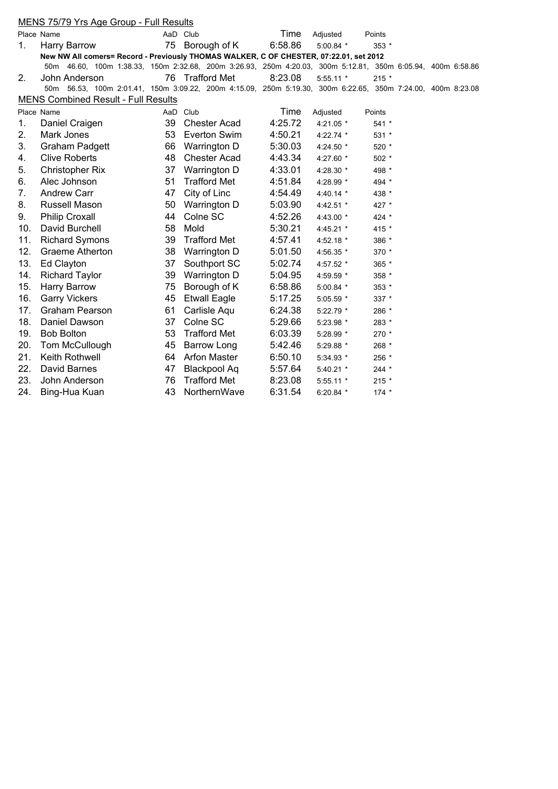|     | MENS 75/79 Yrs Age Group - Full Results                                                                     |          |                     |         |             |         |  |
|-----|-------------------------------------------------------------------------------------------------------------|----------|---------------------|---------|-------------|---------|--|
|     | Place Name                                                                                                  |          | AaD Club            | Time    | Adjusted    | Points  |  |
| 1.  | <b>Harry Barrow</b>                                                                                         | 75       | Borough of K        | 6:58.86 | $5:00.84$ * | $353*$  |  |
|     | New NW All comers= Record - Previously THOMAS WALKER, C OF CHESTER, 07:22.01, set 2012                      |          |                     |         |             |         |  |
|     | 50m 46.60, 100m 1:38.33, 150m 2:32.68, 200m 3:26.93, 250m 4:20.03, 300m 5:12.81, 350m 6:05.94, 400m 6:58.86 |          |                     |         |             |         |  |
| 2.  | John Anderson                                                                                               |          | 76 Trafford Met     | 8:23.08 | $5:55.11*$  | $215 *$ |  |
|     | 50m 56.53, 100m 2:01.41, 150m 3:09.22, 200m 4:15.09, 250m 5:19.30, 300m 6:22.65, 350m 7:24.00, 400m 8:23.08 |          |                     |         |             |         |  |
|     | <b>MENS Combined Result - Full Results</b>                                                                  |          |                     |         |             |         |  |
|     | Place Name                                                                                                  | AaD Club |                     | Time    | Adjusted    | Points  |  |
| 1.  | Daniel Craigen                                                                                              | 39       | Chester Acad        | 4:25.72 | $4:21.05*$  | $541 *$ |  |
| 2.  | Mark Jones                                                                                                  | 53       | <b>Everton Swim</b> | 4:50.21 | 4:22.74 *   | 531 *   |  |
| 3.  | <b>Graham Padgett</b>                                                                                       | 66       | Warrington D        | 5:30.03 | 4:24.50 *   | 520 *   |  |
| 4.  | <b>Clive Roberts</b>                                                                                        | 48       | <b>Chester Acad</b> | 4:43.34 | 4:27.60 *   | $502 *$ |  |
| 5.  | <b>Christopher Rix</b>                                                                                      | 37       | Warrington D        | 4:33.01 | 4:28.30 *   | 498 *   |  |
| 6.  | Alec Johnson                                                                                                | 51       | <b>Trafford Met</b> | 4:51.84 | 4:28.99 *   | 494 *   |  |
| 7.  | Andrew Carr                                                                                                 | 47       | City of Linc        | 4:54.49 | 4:40.14 $*$ | 438 *   |  |
| 8.  | Russell Mason                                                                                               | 50       | Warrington D        | 5:03.90 | 4:42.51 *   | 427 *   |  |
| 9.  | <b>Philip Croxall</b>                                                                                       | 44       | Colne SC            | 4:52.26 | 4:43.00 *   | 424 *   |  |
| 10. | David Burchell                                                                                              | 58       | Mold                | 5:30.21 | 4:45.21 *   | 415 *   |  |
| 11. | <b>Richard Symons</b>                                                                                       | 39       | <b>Trafford Met</b> | 4:57.41 | 4:52.18 $*$ | 386 *   |  |
| 12. | <b>Graeme Atherton</b>                                                                                      | 38       | Warrington D        | 5:01.50 | 4:56.35 *   | 370 *   |  |
| 13. | Ed Clayton                                                                                                  | 37       | Southport SC        | 5:02.74 | 4:57.52 *   | 365 *   |  |
| 14. | <b>Richard Taylor</b>                                                                                       | 39       | Warrington D        | 5:04.95 | 4:59.59 *   | 358 *   |  |
| 15. | <b>Harry Barrow</b>                                                                                         | 75       | Borough of K        | 6:58.86 | $5:00.84$ * | 353 *   |  |
| 16. | <b>Garry Vickers</b>                                                                                        | 45       | <b>Etwall Eagle</b> | 5:17.25 | 5:05.59 *   | 337 *   |  |
| 17. | <b>Graham Pearson</b>                                                                                       | 61       | Carlisle Aqu        | 6:24.38 | $5:22.79$ * | 286 *   |  |
| 18. | Daniel Dawson                                                                                               | 37       | Colne SC            | 5:29.66 | 5:23.98 *   | 283 *   |  |
| 19. | <b>Bob Bolton</b>                                                                                           | 53       | <b>Trafford Met</b> | 6:03.39 | 5:28.99 *   | 270 *   |  |
| 20. | Tom McCullough                                                                                              | 45       | <b>Barrow Long</b>  | 5:42.46 | 5:29.88 *   | 268 *   |  |
| 21. | Keith Rothwell                                                                                              |          | 64 Arfon Master     | 6:50.10 | 5:34.93 *   | 256 *   |  |
| 22. | David Barnes                                                                                                | 47       | <b>Blackpool Aq</b> | 5:57.64 | 5:40.21 *   | $244 *$ |  |
| 23. | John Anderson                                                                                               | 76       | <b>Trafford Met</b> | 8:23.08 | 5:55.11 *   | $215 *$ |  |
| 24. | Bing-Hua Kuan                                                                                               | 43       | NorthernWave        | 6:31.54 | 6:20.84 $*$ | $174 *$ |  |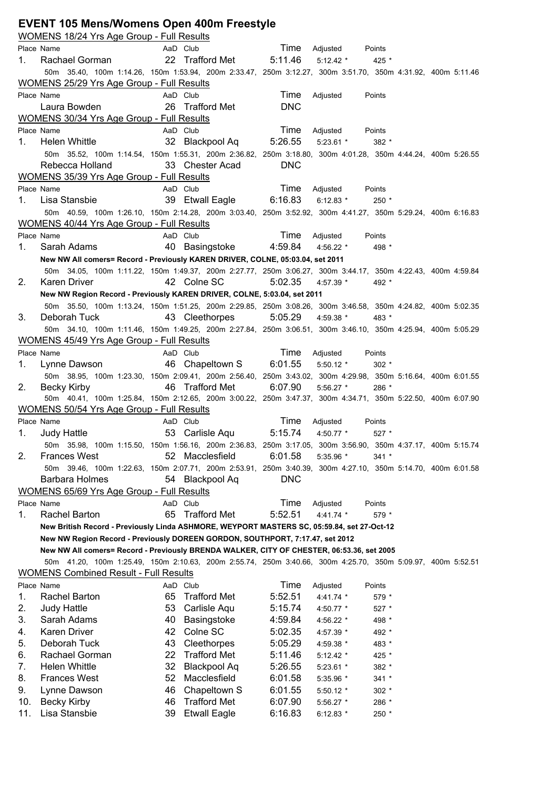|            | <b>EVENT 105 Mens/Womens Open 400m Freestyle</b><br>WOMENS 18/24 Yrs Age Group - Full Results               |    |                         |            |             |           |  |  |
|------------|-------------------------------------------------------------------------------------------------------------|----|-------------------------|------------|-------------|-----------|--|--|
|            | Place Name                                                                                                  |    | AaD Club                | Time       | Adjusted    | Points    |  |  |
| 1.         | Rachael Gorman                                                                                              |    | 22 Trafford Met         | 5:11.46    | $5:12.42*$  | 425 *     |  |  |
|            | 50m 35.40, 100m 1:14.26, 150m 1:53.94, 200m 2:33.47, 250m 3:12.27, 300m 3:51.70, 350m 4:31.92, 400m 5:11.46 |    |                         |            |             |           |  |  |
|            | WOMENS 25/29 Yrs Age Group - Full Results                                                                   |    |                         |            |             |           |  |  |
| Place Name |                                                                                                             |    | AaD Club                | Time       | Adjusted    | Points    |  |  |
|            | Laura Bowden                                                                                                |    | 26 Trafford Met         | <b>DNC</b> |             |           |  |  |
|            | WOMENS 30/34 Yrs Age Group - Full Results                                                                   |    |                         |            |             |           |  |  |
| Place Name |                                                                                                             |    | AaD Club                | Time       | Adjusted    | Points    |  |  |
| 1.         | <b>Helen Whittle</b>                                                                                        | 32 | Blackpool Aq            | 5:26.55    | $5:23.61$ * | 382 *     |  |  |
|            | 50m 35.52, 100m 1:14.54, 150m 1:55.31, 200m 2:36.82, 250m 3:18.80, 300m 4:01.28, 350m 4:44.24, 400m 5:26.55 |    |                         |            |             |           |  |  |
|            | Rebecca Holland                                                                                             |    | 33 Chester Acad         | <b>DNC</b> |             |           |  |  |
|            | WOMENS 35/39 Yrs Age Group - Full Results                                                                   |    |                         |            |             |           |  |  |
| Place Name |                                                                                                             |    | AaD Club                | Time       | Adjusted    | Points    |  |  |
| 1.         | Lisa Stansbie                                                                                               |    | 39 Etwall Eagle         | 6:16.83    | $6:12.83$ * | $250 *$   |  |  |
|            | 50m 40.59, 100m 1:26.10, 150m 2:14.28, 200m 3:03.40, 250m 3:52.92, 300m 4:41.27, 350m 5:29.24, 400m 6:16.83 |    |                         |            |             |           |  |  |
|            | <b>WOMENS 40/44 Yrs Age Group - Full Results</b>                                                            |    |                         |            |             |           |  |  |
| Place Name |                                                                                                             |    | AaD Club                | Time       | Adjusted    | Points    |  |  |
| 1.         | Sarah Adams                                                                                                 |    | 40 Basingstoke          | 4:59.84    | 4:56.22 *   | 498 *     |  |  |
|            | New NW All comers= Record - Previously KAREN DRIVER, COLNE, 05:03.04, set 2011                              |    |                         |            |             |           |  |  |
|            | 50m 34.05, 100m 1:11.22, 150m 1:49.37, 200m 2:27.77, 250m 3:06.27, 300m 3:44.17, 350m 4:22.43, 400m 4:59.84 |    |                         |            |             |           |  |  |
| 2.         | <b>Karen Driver</b>                                                                                         |    | 42 Colne SC             | 5:02.35    | 4:57.39 *   | 492 *     |  |  |
|            | New NW Region Record - Previously KAREN DRIVER, COLNE, 5:03.04, set 2011                                    |    |                         |            |             |           |  |  |
|            | 50m 35.50, 100m 1:13.24, 150m 1:51.25, 200m 2:29.85, 250m 3:08.26, 300m 3:46.58, 350m 4:24.82, 400m 5:02.35 |    |                         |            |             |           |  |  |
| 3.         | Deborah Tuck                                                                                                |    | 43 Cleethorpes          | 5:05.29    | 4:59.38 $*$ | 483 *     |  |  |
|            | 50m 34.10, 100m 1:11.46, 150m 1:49.25, 200m 2:27.84, 250m 3:06.51, 300m 3:46.10, 350m 4:25.94, 400m 5:05.29 |    |                         |            |             |           |  |  |
|            | <b>WOMENS 45/49 Yrs Age Group - Full Results</b>                                                            |    |                         |            |             |           |  |  |
| Place Name |                                                                                                             |    | AaD Club                | Time       | Adjusted    | Points    |  |  |
| 1.         | Lynne Dawson                                                                                                |    | 46 Chapeltown S 6:01.55 |            | $5:50.12$ * | $302 *$   |  |  |
|            | 50m 38.95, 100m 1:23.30, 150m 2:09.41, 200m 2:56.40, 250m 3:43.02, 300m 4:29.98, 350m 5:16.64, 400m 6:01.55 |    |                         |            |             |           |  |  |
| 2.         | <b>Becky Kirby</b>                                                                                          |    | 46 Trafford Met         | 6:07.90    | $5:56.27$ * | 286 *     |  |  |
|            | 50m 40.41, 100m 1:25.84, 150m 2:12.65, 200m 3:00.22, 250m 3:47.37, 300m 4:34.71, 350m 5:22.50, 400m 6:07.90 |    |                         |            |             |           |  |  |
|            | <b>WOMENS 50/54 Yrs Age Group - Full Results</b>                                                            |    |                         |            |             |           |  |  |
| Place Name |                                                                                                             |    | AaD Club                | Time       | Adjusted    | Points    |  |  |
| 1.         | <b>Judy Hattle</b>                                                                                          |    | 53 Carlisle Aqu         | 5:15.74    | 4:50.77 *   | $527$ $*$ |  |  |
|            | 50m 35.98, 100m 1:15.50, 150m 1:56.16, 200m 2:36.83, 250m 3:17.05, 300m 3:56.90, 350m 4:37.17, 400m 5:15.74 |    |                         |            |             |           |  |  |
| 2.         | <b>Frances West</b>                                                                                         |    | 52 Macclesfield         | 6:01.58    | 5:35.96 *   | $341 *$   |  |  |
|            | 50m 39.46, 100m 1:22.63, 150m 2:07.71, 200m 2:53.91, 250m 3:40.39, 300m 4:27.10, 350m 5:14.70, 400m 6:01.58 |    |                         |            |             |           |  |  |
|            | Barbara Holmes                                                                                              |    | 54 Blackpool Aq         | <b>DNC</b> |             |           |  |  |
|            | <b>WOMENS 65/69 Yrs Age Group - Full Results</b>                                                            |    |                         |            |             |           |  |  |
|            | Place Name                                                                                                  |    | AaD Club                | Time       | Adjusted    | Points    |  |  |
| 1.         | Rachel Barton                                                                                               |    | 65 Trafford Met         | 5:52.51    | $4:41.74*$  | 579 *     |  |  |
|            | New British Record - Previously Linda ASHMORE, WEYPORT MASTERS SC, 05:59.84, set 27-Oct-12                  |    |                         |            |             |           |  |  |
|            | New NW Region Record - Previously DOREEN GORDON, SOUTHPORT, 7:17.47, set 2012                               |    |                         |            |             |           |  |  |
|            | New NW All comers= Record - Previously BRENDA WALKER, CITY OF CHESTER, 06:53.36, set 2005                   |    |                         |            |             |           |  |  |
|            | 50m 41.20, 100m 1:25.49, 150m 2:10.63, 200m 2:55.74, 250m 3:40.66, 300m 4:25.70, 350m 5:09.97, 400m 5:52.51 |    |                         |            |             |           |  |  |
|            | <b>WOMENS Combined Result - Full Results</b>                                                                |    |                         |            |             |           |  |  |
| Place Name |                                                                                                             |    | AaD Club                | Time       | Adjusted    | Points    |  |  |
| 1.         | Rachel Barton                                                                                               | 65 | <b>Trafford Met</b>     | 5:52.51    | 4:41.74 *   | 579 *     |  |  |
| 2.         | <b>Judy Hattle</b>                                                                                          | 53 | Carlisle Aqu            | 5:15.74    | 4:50.77 *   | $527 *$   |  |  |
| 3.         | Sarah Adams                                                                                                 | 40 | Basingstoke             | 4:59.84    | 4:56.22 *   | 498 *     |  |  |
| 4.         | Karen Driver                                                                                                | 42 | Colne SC                | 5:02.35    | 4:57.39 *   | 492 *     |  |  |
| 5.         | Deborah Tuck                                                                                                | 43 | Cleethorpes             | 5:05.29    | 4:59.38 *   | 483 *     |  |  |
| 6.         | Rachael Gorman                                                                                              | 22 | <b>Trafford Met</b>     | 5:11.46    | $5:12.42$ * | 425 *     |  |  |
| 7.         | <b>Helen Whittle</b>                                                                                        | 32 | <b>Blackpool Aq</b>     | 5:26.55    | $5:23.61$ * | 382 *     |  |  |
| 8.         | <b>Frances West</b>                                                                                         | 52 | Macclesfield            | 6:01.58    | 5:35.96 *   | $341 *$   |  |  |
| 9.         | Lynne Dawson                                                                                                | 46 | Chapeltown S            | 6:01.55    | 5:50.12 *   | $302 *$   |  |  |
| 10.        | <b>Becky Kirby</b>                                                                                          | 46 | <b>Trafford Met</b>     | 6:07.90    | 5:56.27 *   | 286 *     |  |  |
| 11.        | Lisa Stansbie                                                                                               | 39 | <b>Etwall Eagle</b>     | 6:16.83    | 6:12.83 $*$ | 250 *     |  |  |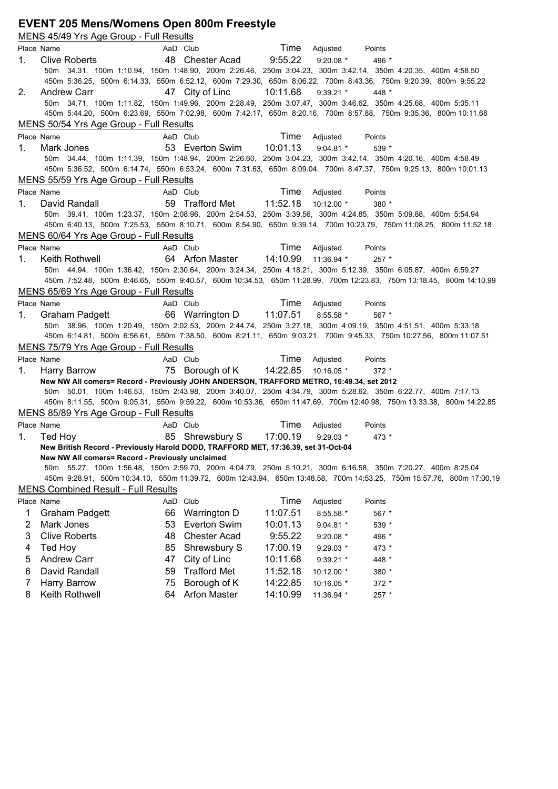### **EVENT 205 Mens/Womens Open 800m Freestyle**

|    | MENS 45/49 Yrs Age Group - Full Results                                                  |    |                          |          |               |                                                                                                                                                                                                                                  |
|----|------------------------------------------------------------------------------------------|----|--------------------------|----------|---------------|----------------------------------------------------------------------------------------------------------------------------------------------------------------------------------------------------------------------------------|
|    | Place Name                                                                               |    | AaD Club                 |          | Time Adjusted | Points                                                                                                                                                                                                                           |
| 1. | Clive Roberts                                                                            |    | 48 Chester Acad          | 9:55.22  | $9:20.08$ *   | 496 *                                                                                                                                                                                                                            |
|    |                                                                                          |    |                          |          |               | 50m 34.31, 100m 1:10.94, 150m 1:48.90, 200m 2:26.46, 250m 3:04.23, 300m 3:42.14, 350m 4:20.35, 400m 4:58.50                                                                                                                      |
|    |                                                                                          |    |                          |          |               | 450m 5:36.25, 500m 6:14.33, 550m 6:52.12, 600m 7:29.30, 650m 8:06.22, 700m 8:43.36, 750m 9:20.39, 800m 9:55.22                                                                                                                   |
| 2. | <b>Andrew Carr</b>                                                                       |    | 47 City of Linc          | 10:11.68 | $9:39.21$ *   | 448 *                                                                                                                                                                                                                            |
|    |                                                                                          |    |                          |          |               | 50m 34.71, 100m 1:11.82, 150m 1:49.96, 200m 2:28.49, 250m 3:07.47, 300m 3:46.62, 350m 4:25.68, 400m 5:05.11                                                                                                                      |
|    |                                                                                          |    |                          |          |               | 450m 5:44.20, 500m 6:23.69, 550m 7:02.98, 600m 7:42.17, 650m 8:20.16, 700m 8:57.88, 750m 9:35.36, 800m 10:11.68                                                                                                                  |
|    | MENS 50/54 Yrs Age Group - Full Results                                                  |    |                          |          |               |                                                                                                                                                                                                                                  |
|    | Place Name                                                                               |    | AaD Club                 | Time     | Adjusted      | Points                                                                                                                                                                                                                           |
| 1. | Mark Jones                                                                               |    | 53 Everton Swim          | 10:01.13 | $9:04.81$ *   | 539 *                                                                                                                                                                                                                            |
|    |                                                                                          |    |                          |          |               | 50m 34.44, 100m 1:11.39, 150m 1:48.94, 200m 2:26.60, 250m 3:04.23, 300m 3:42.14, 350m 4:20.16, 400m 4:58.49                                                                                                                      |
|    |                                                                                          |    |                          |          |               | 450m 5:36.52, 500m 6:14.74, 550m 6:53.24, 600m 7:31.63, 650m 8:09.04, 700m 8:47.37, 750m 9:25.13, 800m 10:01.13                                                                                                                  |
|    | MENS 55/59 Yrs Age Group - Full Results                                                  |    |                          |          |               |                                                                                                                                                                                                                                  |
|    | Place Name                                                                               |    | AaD Club                 | Time     | Adjusted      | Points                                                                                                                                                                                                                           |
| 1. | David Randall                                                                            |    | 59 Trafford Met 11:52.18 |          | 10:12.00 *    | 380 *                                                                                                                                                                                                                            |
|    |                                                                                          |    |                          |          |               | 50m 39.41, 100m 1:23.37, 150m 2:08.96, 200m 2:54.53, 250m 3:39.56, 300m 4:24.85, 350m 5:09.88, 400m 5:54.94<br>450m 6:40.13, 500m 7:25.53, 550m 8:10.71, 600m 8:54.90, 650m 9:39.14, 700m 10:23.79, 750m 11:08.25, 800m 11:52.18 |
|    | MENS 60/64 Yrs Age Group - Full Results                                                  |    |                          |          |               |                                                                                                                                                                                                                                  |
|    | Place Name                                                                               |    | AaD Club                 | Time     | Adjusted      | Points                                                                                                                                                                                                                           |
| 1. | Keith Rothwell                                                                           |    | 64 Arfon Master          | 14:10.99 | 11:36.94 *    | $257 *$                                                                                                                                                                                                                          |
|    |                                                                                          |    |                          |          |               | 50m 44.94, 100m 1:36.42, 150m 2:30.64, 200m 3:24.34, 250m 4:18.21, 300m 5:12.39, 350m 6:05.87, 400m 6:59.27                                                                                                                      |
|    |                                                                                          |    |                          |          |               | 450m 7:52.48, 500m 8:46.65, 550m 9:40.57, 600m 10:34.53, 650m 11:28.99, 700m 12:23.83, 750m 13:18.45, 800m 14:10.99                                                                                                              |
|    | MENS 65/69 Yrs Age Group - Full Results                                                  |    |                          |          |               |                                                                                                                                                                                                                                  |
|    | Place Name                                                                               |    | AaD Club                 | Time     | Adjusted      | Points                                                                                                                                                                                                                           |
| 1. | Graham Padgett                                                                           |    | 66 Warrington D 11:07.51 |          | $8:55.58$ *   | 567 *                                                                                                                                                                                                                            |
|    |                                                                                          |    |                          |          |               | 50m 38.96, 100m 1:20.49, 150m 2:02.53, 200m 2:44.74, 250m 3:27.18, 300m 4:09.19, 350m 4:51.51, 400m 5:33.18                                                                                                                      |
|    |                                                                                          |    |                          |          |               | 450m 6:14.81, 500m 6:56.61, 550m 7:38.50, 600m 8:21.11, 650m 9:03.21, 700m 9:45.33, 750m 10:27.56, 800m 11:07.51                                                                                                                 |
|    | MENS 75/79 Yrs Age Group - Full Results                                                  |    |                          |          |               |                                                                                                                                                                                                                                  |
|    | Place Name                                                                               |    | AaD Club                 | Time     | Adjusted      | Points                                                                                                                                                                                                                           |
| 1. | Harry Barrow                                                                             |    | 75 Borough of K 14:22.85 |          | $10:16.05$ *  | $372*$                                                                                                                                                                                                                           |
|    | New NW All comers= Record - Previously JOHN ANDERSON, TRAFFORD METRO, 16:49.34, set 2012 |    |                          |          |               |                                                                                                                                                                                                                                  |
|    |                                                                                          |    |                          |          |               | 50m 50.01, 100m 1:46.53, 150m 2:43.98, 200m 3:40.07, 250m 4:34.79, 300m 5:28.62, 350m 6:22.77, 400m 7:17.13                                                                                                                      |
|    |                                                                                          |    |                          |          |               | 450m 8:11.55, 500m 9:05.31, 550m 9:59.22, 600m 10:53.36, 650m 11:47.69, 700m 12:40.98, 750m 13:33.38, 800m 14:22.85                                                                                                              |
|    | MENS 85/89 Yrs Age Group - Full Results                                                  |    |                          |          |               |                                                                                                                                                                                                                                  |
|    | Place Name                                                                               |    | AaD Club                 | Time     | Adjusted      | Points                                                                                                                                                                                                                           |
| 1. | Ted Hoy                                                                                  |    | 85 Shrewsbury S 17:00.19 |          | $9:29.03$ *   | 473 *                                                                                                                                                                                                                            |
|    | New British Record - Previously Harold DODD, TRAFFORD MET, 17:36.39, set 31-Oct-04       |    |                          |          |               |                                                                                                                                                                                                                                  |
|    | New NW All comers= Record - Previously unclaimed                                         |    |                          |          |               |                                                                                                                                                                                                                                  |
|    |                                                                                          |    |                          |          |               | 50m 55.27, 100m 1:56.48, 150m 2:59.70, 200m 4:04.79, 250m 5:10.21, 300m 6:16.58, 350m 7:20.27, 400m 8:25.04                                                                                                                      |
|    |                                                                                          |    |                          |          |               | 450m 9:28.91, 500m 10:34.10, 550m 11:39.72, 600m 12:43.94, 650m 13:48.58, 700m 14:53.25, 750m 15:57.76, 800m 17:00.19                                                                                                            |
|    | <b>MENS Combined Result - Full Results</b>                                               |    |                          |          |               |                                                                                                                                                                                                                                  |
|    | Place Name                                                                               |    | AaD Club                 | Time     | Adjusted      | Points                                                                                                                                                                                                                           |
| 1  | <b>Graham Padgett</b>                                                                    | 66 | Warrington D             | 11:07.51 | 8:55.58 *     | 567 *                                                                                                                                                                                                                            |
| 2  | Mark Jones                                                                               | 53 | <b>Everton Swim</b>      | 10:01.13 | $9:04.81$ *   | 539 *                                                                                                                                                                                                                            |
| 3  | <b>Clive Roberts</b>                                                                     | 48 | <b>Chester Acad</b>      | 9:55.22  | $9:20.08$ *   | 496 *                                                                                                                                                                                                                            |
| 4  | Ted Hoy                                                                                  | 85 | Shrewsbury S             | 17:00.19 | 9:29.03 *     | 473 *                                                                                                                                                                                                                            |
| 5  | <b>Andrew Carr</b>                                                                       | 47 | City of Linc             | 10:11.68 | 9:39.21 *     | 448 *                                                                                                                                                                                                                            |
| 6  | David Randall                                                                            | 59 | <b>Trafford Met</b>      | 11:52.18 | 10:12.00 *    | 380 *                                                                                                                                                                                                                            |
| 7  | Harry Barrow                                                                             | 75 | Borough of K             | 14:22.85 | 10:16.05 *    | $372 *$                                                                                                                                                                                                                          |
| 8  | Keith Rothwell                                                                           | 64 | <b>Arfon Master</b>      | 14:10.99 | 11:36.94 *    | 257 *                                                                                                                                                                                                                            |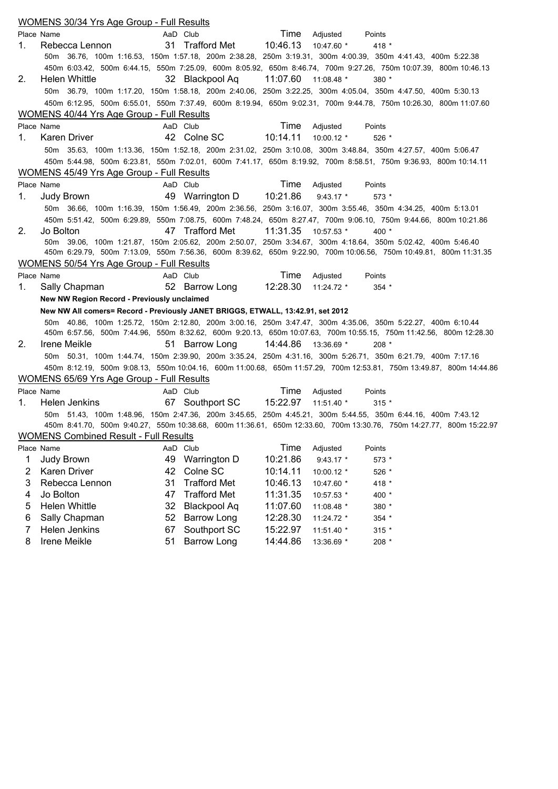|    | <b>WOMENS 30/34 Yrs Age Group - Full Results</b>                                |    |                           |          |              |                                                                                                                      |
|----|---------------------------------------------------------------------------------|----|---------------------------|----------|--------------|----------------------------------------------------------------------------------------------------------------------|
|    | Place Name                                                                      |    | AaD Club                  | Time     | Adjusted     | Points                                                                                                               |
| 1. | Rebecca Lennon                                                                  |    | 31 Trafford Met           | 10:46.13 | 10:47.60 *   | 418 *                                                                                                                |
|    |                                                                                 |    |                           |          |              | 50m 36.76, 100m 1:16.53, 150m 1:57.18, 200m 2:38.28, 250m 3:19.31, 300m 4:00.39, 350m 4:41.43, 400m 5:22.38          |
|    |                                                                                 |    |                           |          |              | 450m 6:03.42, 500m 6:44.15, 550m 7:25.09, 600m 8:05.92, 650m 8:46.74, 700m 9:27.26, 750m 10:07.39, 800m 10:46.13     |
| 2. | Helen Whittle                                                                   |    | 32 Blackpool Aq           | 11:07.60 | $11:08.48$ * | $380*$                                                                                                               |
|    |                                                                                 |    |                           |          |              | 50m 36.79, 100m 1:17.20, 150m 1:58.18, 200m 2:40.06, 250m 3:22.25, 300m 4:05.04, 350m 4:47.50, 400m 5:30.13          |
|    |                                                                                 |    |                           |          |              | 450m 6:12.95, 500m 6:55.01, 550m 7:37.49, 600m 8:19.94, 650m 9:02.31, 700m 9:44.78, 750m 10:26.30, 800m 11:07.60     |
|    | WOMENS 40/44 Yrs Age Group - Full Results                                       |    |                           |          |              |                                                                                                                      |
|    | Place Name                                                                      |    | AaD Club                  | Time     | Adjusted     | Points                                                                                                               |
| 1. | Karen Driver                                                                    |    | 42 Colne SC               | 10:14.11 | 10:00.12 *   | $526*$                                                                                                               |
|    |                                                                                 |    |                           |          |              | 50m 35.63, 100m 1:13.36, 150m 1:52.18, 200m 2:31.02, 250m 3:10.08, 300m 3:48.84, 350m 4:27.57, 400m 5:06.47          |
|    |                                                                                 |    |                           |          |              | 450m 5:44.98, 500m 6:23.81, 550m 7:02.01, 600m 7:41.17, 650m 8:19.92, 700m 8:58.51, 750m 9:36.93, 800m 10:14.11      |
|    | <b>WOMENS 45/49 Yrs Age Group - Full Results</b>                                |    |                           |          |              |                                                                                                                      |
|    | Place Name                                                                      |    | AaD Club                  | Time     | Adjusted     | Points                                                                                                               |
| 1. | Judy Brown                                                                      |    | 49 Warrington D  10:21.86 |          | $9:43.17$ *  | $573*$                                                                                                               |
|    |                                                                                 |    |                           |          |              | 50m 36.66, 100m 1:16.39, 150m 1:56.49, 200m 2:36.56, 250m 3:16.07, 300m 3:55.46, 350m 4:34.25, 400m 5:13.01          |
|    |                                                                                 |    |                           |          |              | 450m 5:51.42, 500m 6:29.89, 550m 7:08.75, 600m 7:48.24, 650m 8:27.47, 700m 9:06.10, 750m 9:44.66, 800m 10:21.86      |
| 2. | Jo Bolton                                                                       |    | 47 Trafford Met           | 11:31.35 | 10:57.53 *   | $400*$                                                                                                               |
|    |                                                                                 |    |                           |          |              | 50m 39.06, 100m 1:21.87, 150m 2:05.62, 200m 2:50.07, 250m 3:34.67, 300m 4:18.64, 350m 5:02.42, 400m 5:46.40          |
|    |                                                                                 |    |                           |          |              | 450m 6:29.79, 500m 7:13.09, 550m 7:56.36, 600m 8:39.62, 650m 9:22.90, 700m 10:06.56, 750m 10:49.81, 800m 11:31.35    |
|    | WOMENS 50/54 Yrs Age Group - Full Results                                       |    |                           |          |              |                                                                                                                      |
|    | Place Name                                                                      |    | AaD Club                  | Time     | Adjusted     | Points                                                                                                               |
| 1. | Sally Chapman                                                                   |    | 52 Barrow Long            | 12:28.30 | $11:24.72$ * | $354*$                                                                                                               |
|    | New NW Region Record - Previously unclaimed                                     |    |                           |          |              |                                                                                                                      |
|    | New NW All comers= Record - Previously JANET BRIGGS, ETWALL, 13:42.91, set 2012 |    |                           |          |              |                                                                                                                      |
|    |                                                                                 |    |                           |          |              | 50m 40.86, 100m 1:25.72, 150m 2:12.80, 200m 3:00.16, 250m 3:47.47, 300m 4:35.06, 350m 5:22.27, 400m 6:10.44          |
|    |                                                                                 |    |                           |          |              | 450m 6:57.56, 500m 7:44.96, 550m 8:32.62, 600m 9:20.13, 650m 10:07.63, 700m 10:55.15, 750m 11:42.56, 800m 12:28.30   |
| 2. | Irene Meikle                                                                    |    | 51 Barrow Long            | 14:44.86 | 13:36.69 *   | $208 *$                                                                                                              |
|    |                                                                                 |    |                           |          |              | 50m 50.31, 100m 1:44.74, 150m 2:39.90, 200m 3:35.24, 250m 4:31.16, 300m 5:26.71, 350m 6:21.79, 400m 7:17.16          |
|    |                                                                                 |    |                           |          |              | 450m 8:12.19, 500m 9:08.13, 550m 10:04.16, 600m 11:00.68, 650m 11:57.29, 700m 12:53.81, 750m 13:49.87, 800m 14:44.86 |
|    | WOMENS 65/69 Yrs Age Group - Full Results                                       |    |                           |          |              |                                                                                                                      |
|    | Place Name                                                                      |    | AaD Club                  | Time     | Adjusted     | Points                                                                                                               |
| 1. | Helen Jenkins                                                                   |    | 67 Southport SC           | 15:22.97 | 11:51.40 *   | $315 *$                                                                                                              |
|    |                                                                                 |    |                           |          |              | 50m 51.43, 100m 1:48.96, 150m 2:47.36, 200m 3:45.65, 250m 4:45.21, 300m 5:44.55, 350m 6:44.16, 400m 7:43.12          |
|    |                                                                                 |    |                           |          |              | 450m 8:41.70, 500m 9:40.27, 550m 10:38.68, 600m 11:36.61, 650m 12:33.60, 700m 13:30.76, 750m 14:27.77, 800m 15:22.97 |
|    | <b>WOMENS Combined Result - Full Results</b>                                    |    |                           |          |              |                                                                                                                      |
|    | Place Name                                                                      |    | AaD Club                  | Time     | Adjusted     | Points                                                                                                               |
| 1  | Judy Brown                                                                      | 49 | Warrington D              | 10:21.86 | $9:43.17*$   | 573 *                                                                                                                |
| 2  | Karen Driver                                                                    | 42 | Colne SC                  | 10:14.11 | 10:00.12 *   | 526 *                                                                                                                |
| 3  | Rebecca Lennon                                                                  | 31 | <b>Trafford Met</b>       | 10:46.13 | 10:47.60 *   | 418 *                                                                                                                |
| 4  | Jo Bolton                                                                       | 47 | <b>Trafford Met</b>       | 11:31.35 | 10:57.53 *   | 400 *                                                                                                                |
| 5  | <b>Helen Whittle</b>                                                            | 32 | <b>Blackpool Aq</b>       | 11:07.60 | 11:08.48 *   | 380 *                                                                                                                |
| 6  | Sally Chapman                                                                   | 52 | <b>Barrow Long</b>        | 12:28.30 | 11:24.72 *   | 354 *                                                                                                                |
| 7  | Helen Jenkins                                                                   | 67 | Southport SC              | 15:22.97 | 11:51.40 *   | $315 *$                                                                                                              |
| 8  | Irene Meikle                                                                    | 51 | <b>Barrow Long</b>        | 14:44.86 | 13:36.69 *   | 208 *                                                                                                                |
|    |                                                                                 |    |                           |          |              |                                                                                                                      |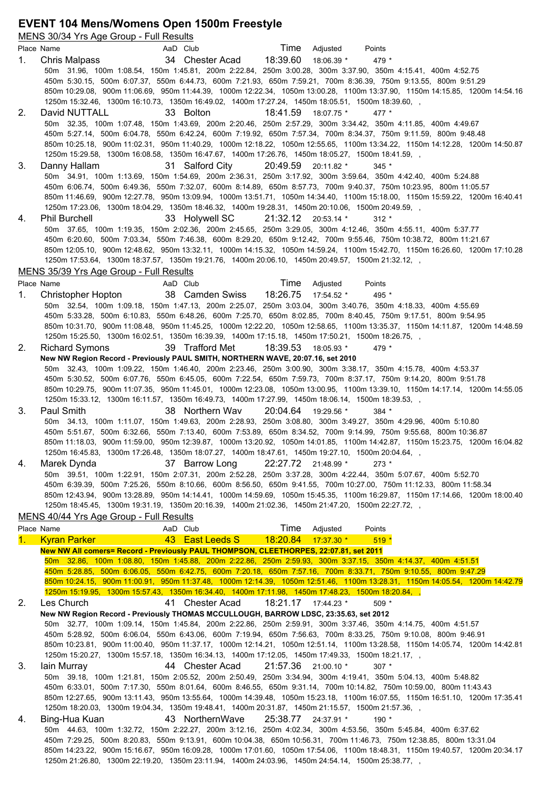# **EVENT 104 Mens/Womens Open 1500m Freestyle**

|    | MENS 30/34 Yrs Age Group - Full Results                                                                                                                                                                                            |
|----|------------------------------------------------------------------------------------------------------------------------------------------------------------------------------------------------------------------------------------|
|    | Time<br>Place Name<br>AaD Club<br>Adjusted<br>Points                                                                                                                                                                               |
| 1. | 34 Chester Acad<br>18:39.60<br>Chris Malpass<br>18:06.39 *<br>479 *                                                                                                                                                                |
|    | 50m 31.96, 100m 1:08.54, 150m 1:45.81, 200m 2:22.84, 250m 3:00.28, 300m 3:37.90, 350m 4:15.41, 400m 4:52.75                                                                                                                        |
|    | 450m 5:30.15, 500m 6:07.37, 550m 6:44.73, 600m 7:21.93, 650m 7:59.21, 700m 8:36.39, 750m 9:13.55, 800m 9:51.29                                                                                                                     |
|    | 850m 10:29.08, 900m 11:06.69, 950m 11:44.39, 1000m 12:22.34, 1050m 13:00.28, 1100m 13:37.90, 1150m 14:15.85, 1200m 14:54.16                                                                                                        |
|    | 1250m 15:32.46, 1300m 16:10.73, 1350m 16:49.02, 1400m 17:27.24, 1450m 18:05.51, 1500m 18:39.60, ,<br>David NUTTALL<br>33 Bolton<br>18:41.59 18:07.75 *                                                                             |
| 2. | 477 *<br>50m 32.35, 100m 1:07.48, 150m 1:43.69, 200m 2:20.46, 250m 2:57.29, 300m 3:34.42, 350m 4:11.85, 400m 4:49.67                                                                                                               |
|    | 450m 5:27.14, 500m 6:04.78, 550m 6:42.24, 600m 7:19.92, 650m 7:57.34, 700m 8:34.37, 750m 9:11.59, 800m 9:48.48                                                                                                                     |
|    | 850m 10:25.18, 900m 11:02.31, 950m 11:40.29, 1000m 12:18.22, 1050m 12:55.65, 1100m 13:34.22, 1150m 14:12.28, 1200m 14:50.87                                                                                                        |
|    | 1250m 15:29.58, 1300m 16:08.58, 1350m 16:47.67, 1400m 17:26.76, 1450m 18:05.27, 1500m 18:41.59, ,                                                                                                                                  |
| 3. | 31 Salford City<br>20:49.59 20:11.82 *<br>Danny Hallam<br>$345*$                                                                                                                                                                   |
|    | 50m 34.91, 100m 1:13.69, 150m 1:54.69, 200m 2:36.31, 250m 3:17.92, 300m 3:59.64, 350m 4:42.40, 400m 5:24.88                                                                                                                        |
|    | 450m 6:06.74, 500m 6:49.36, 550m 7:32.07, 600m 8:14.89, 650m 8:57.73, 700m 9:40.37, 750m 10:23.95, 800m 11:05.57                                                                                                                   |
|    | 850m 11:46.69, 900m 12:27.78, 950m 13:09.94, 1000m 13:51.71, 1050m 14:34.40, 1100m 15:18.00, 1150m 15:59.22, 1200m 16:40.41                                                                                                        |
|    | 1250m 17:23.06, 1300m 18:04.29, 1350m 18:46.32, 1400m 19:28.31, 1450m 20:10.06, 1500m 20:49.59, ,                                                                                                                                  |
| 4. | <b>Phil Burchell</b><br>33 Holywell SC<br>21:32.12 20:53.14 *<br>$312 *$                                                                                                                                                           |
|    | 50m 37.65, 100m 1:19.35, 150m 2:02.36, 200m 2:45.65, 250m 3:29.05, 300m 4:12.46, 350m 4:55.11, 400m 5:37.77<br>450m 6:20.60, 500m 7:03.34, 550m 7:46.38, 600m 8:29.20, 650m 9:12.42, 700m 9:55.46, 750m 10:38.72, 800m 11:21.67    |
|    | 850m 12:05.10, 900m 12:48.62, 950m 13:32.11, 1000m 14:15.32, 1050m 14:59.24, 1100m 15:42.70, 1150m 16:26.60, 1200m 17:10.28                                                                                                        |
|    | 1250m 17:53.64, 1300m 18:37.57, 1350m 19:21.76, 1400m 20:06.10, 1450m 20:49.57, 1500m 21:32.12, ,                                                                                                                                  |
|    | MENS 35/39 Yrs Age Group - Full Results                                                                                                                                                                                            |
|    | Time<br>Place Name<br>AaD Club<br>Adjusted<br>Points                                                                                                                                                                               |
| 1. | 18:26.75 17:54.52 *<br>38 Camden Swiss<br>Christopher Hopton<br>495 *                                                                                                                                                              |
|    | 50m 32.54, 100m 1:09.18, 150m 1:47.13, 200m 2:25.07, 250m 3:03.04, 300m 3:40.76, 350m 4:18.33, 400m 4:55.69                                                                                                                        |
|    | 450m 5:33.28, 500m 6:10.83, 550m 6:48.26, 600m 7:25.70, 650m 8:02.85, 700m 8:40.45, 750m 9:17.51, 800m 9:54.95                                                                                                                     |
|    | 850m 10:31.70, 900m 11:08.48, 950m 11:45.25, 1000m 12:22.20, 1050m 12:58.65, 1100m 13:35.37, 1150m 14:11.87, 1200m 14:48.59                                                                                                        |
|    | 1250m 15:25.50, 1300m 16:02.51, 1350m 16:39.39, 1400m 17:15.18, 1450m 17:50.21, 1500m 18:26.75, ,                                                                                                                                  |
| 2. | <b>Richard Symons</b><br>39 Trafford Met<br>18:39.53<br>18:05.93 *<br>$479*$                                                                                                                                                       |
|    | New NW Region Record - Previously PAUL SMITH, NORTHERN WAVE, 20:07.16, set 2010<br>50m 32.43, 100m 1:09.22, 150m 1:46.40, 200m 2:23.46, 250m 3:00.90, 300m 3:38.17, 350m 4:15.78, 400m 4:53.37                                     |
|    | 450m 5:30.52, 500m 6:07.76, 550m 6:45.05, 600m 7:22.54, 650m 7:59.73, 700m 8:37.17, 750m 9:14.20, 800m 9:51.78                                                                                                                     |
|    | 850m 10:29.75, 900m 11:07.35, 950m 11:45.01, 1000m 12:23.08, 1050m 13:00.95, 1100m 13:39.10, 1150m 14:17.14, 1200m 14:55.05                                                                                                        |
|    | 1250m 15:33.12, 1300m 16:11.57, 1350m 16:49.73, 1400m 17:27.99, 1450m 18:06.14, 1500m 18:39.53,                                                                                                                                    |
| 3. | Paul Smith<br>38 Northern Way<br>20:04.64 19:29.56 *<br>$384 *$                                                                                                                                                                    |
|    | 50m 34.13, 100m 1:11.07, 150m 1:49.63, 200m 2:28.93, 250m 3:08.80, 300m 3:49.27, 350m 4:29.96, 400m 5:10.80                                                                                                                        |
|    | 450m 5:51.67, 500m 6:32.66, 550m 7:13.40, 600m 7:53.89, 650m 8:34.52, 700m 9:14.99, 750m 9:55.68, 800m 10:36.87                                                                                                                    |
|    | 850m 11:18.03, 900m 11:59.00, 950m 12:39.87, 1000m 13:20.92, 1050m 14:01.85, 1100m 14:42.87, 1150m 15:23.75, 1200m 16:04.82                                                                                                        |
|    | 1250m 16:45.83, 1300m 17:26.48, 1350m 18:07.27, 1400m 18:47.61, 1450m 19:27.10, 1500m 20:04.64, ,                                                                                                                                  |
| 4. | 22:27.72 21:48.99 *<br>Marek Dynda<br>37 Barrow Long<br>273 *<br>50m 39.51, 100m 1:22.91, 150m 2:07.31, 200m 2:52.28, 250m 3:37.28, 300m 4:22.44, 350m 5:07.67, 400m 5:52.70                                                       |
|    | 450m 6:39.39, 500m 7:25.26, 550m 8:10.66, 600m 8:56.50, 650m 9:41.55, 700m 10:27.00, 750m 11:12.33, 800m 11:58.34                                                                                                                  |
|    | 850m 12:43.94, 900m 13:28.89, 950m 14:14.41, 1000m 14:59.69, 1050m 15:45.35, 1100m 16:29.87, 1150m 17:14.66, 1200m 18:00.40                                                                                                        |
|    | 1250m 18:45.45, 1300m 19:31.19, 1350m 20:16.39, 1400m 21:02.36, 1450m 21:47.20, 1500m 22:27.72,                                                                                                                                    |
|    | MENS 40/44 Yrs Age Group - Full Results                                                                                                                                                                                            |
|    | Time<br>Place Name<br>AaD Club<br>Adjusted<br>Points                                                                                                                                                                               |
| 1. | 43 East Leeds S<br>18:20.84<br><b>Kyran Parker</b><br>17:37.30 *<br>$519*$                                                                                                                                                         |
|    | New NW All comers= Record - Previously PAUL THOMPSON, CLEETHORPES, 22:07.81, set 2011                                                                                                                                              |
|    | 50m 32.86, 100m 1:08.80, 150m 1:45.88, 200m 2:22.86, 250m 2:59.93, 300m 3:37.15, 350m 4:14.37, 400m 4:51.51                                                                                                                        |
|    | 450m 5:28.85, 500m 6:06.05, 550m 6:42.75, 600m 7:20.18, 650m 7:57.16, 700m 8:33.71, 750m 9:10.55, 800m 9:47.29                                                                                                                     |
|    | 850m 10:24.15, 900m 11:00.91, 950m 11:37.48, 1000m 12:14.39, 1050m 12:51.46, 1100m 13:28.31, 1150m 14:05.54, 1200m 14:42.79                                                                                                        |
|    | 1250m 15:19.95, 1300m 15:57.43, 1350m 16:34.40, 1400m 17:11.98, 1450m 17:48.23, 1500m 18:20.84, ,                                                                                                                                  |
| 2. | Les Church<br>41 Chester Acad<br>$18:21.17$ $17:44.23$ *<br>$509 *$                                                                                                                                                                |
|    | New NW Region Record - Previously THOMAS MCCULLOUGH, BARROW LDSC, 23:35.63, set 2012<br>50m 32.77, 100m 1:09.14, 150m 1:45.84, 200m 2:22.86, 250m 2:59.91, 300m 3:37.46, 350m 4:14.75, 400m 4:51.57                                |
|    | 450m 5:28.92, 500m 6:06.04, 550m 6:43.06, 600m 7:19.94, 650m 7:56.63, 700m 8:33.25, 750m 9:10.08, 800m 9:46.91                                                                                                                     |
|    | 850m 10:23.81, 900m 11:00.40, 950m 11:37.17, 1000m 12:14.21, 1050m 12:51.14, 1100m 13:28.58, 1150m 14:05.74, 1200m 14:42.81                                                                                                        |
|    | 1250m 15:20.27, 1300m 15:57.18, 1350m 16:34.13, 1400m 17:12.05, 1450m 17:49.33, 1500m 18:21.17, ,                                                                                                                                  |
| 3. | lain Murray<br>44 Chester Acad<br>21:57.36<br>$21:00.10*$<br>$307 *$                                                                                                                                                               |
|    | 50m 39.18, 100m 1:21.81, 150m 2:05.52, 200m 2:50.49, 250m 3:34.94, 300m 4:19.41, 350m 5:04.13, 400m 5:48.82                                                                                                                        |
|    | 450m 6:33.01, 500m 7:17.30, 550m 8:01.64, 600m 8:46.55, 650m 9:31.14, 700m 10:14.82, 750m 10:59.00, 800m 11:43.43                                                                                                                  |
|    | 850m 12:27.65, 900m 13:11.43, 950m 13:55.64, 1000m 14:39.48, 1050m 15:23.18, 1100m 16:07.55, 1150m 16:51.10, 1200m 17:35.41                                                                                                        |
|    | 1250m 18:20.03, 1300m 19:04.34, 1350m 19:48.41, 1400m 20:31.87, 1450m 21:15.57, 1500m 21:57.36, ,                                                                                                                                  |
| 4. | 43 NorthernWave<br>25:38.77<br>Bing-Hua Kuan<br>24:37.91 *<br>190 *                                                                                                                                                                |
|    | 50m 44.63, 100m 1:32.72, 150m 2:22.27, 200m 3:12.16, 250m 4:02.34, 300m 4:53.56, 350m 5:45.84, 400m 6:37.62<br>450m 7:29.25, 500m 8:20.83, 550m 9:13.91, 600m 10:04.38, 650m 10:56.31, 700m 11:46.73, 750m 12:38.85, 800m 13:31.04 |
|    | 850m 14:23.22, 900m 15:16.67, 950m 16:09.28, 1000m 17:01.60, 1050m 17:54.06, 1100m 18:48.31, 1150m 19:40.57, 1200m 20:34.17                                                                                                        |

1250m 21:26.80, 1300m 22:19.20, 1350m 23:11.94, 1400m 24:03.96, 1450m 24:54.14, 1500m 25:38.77, ,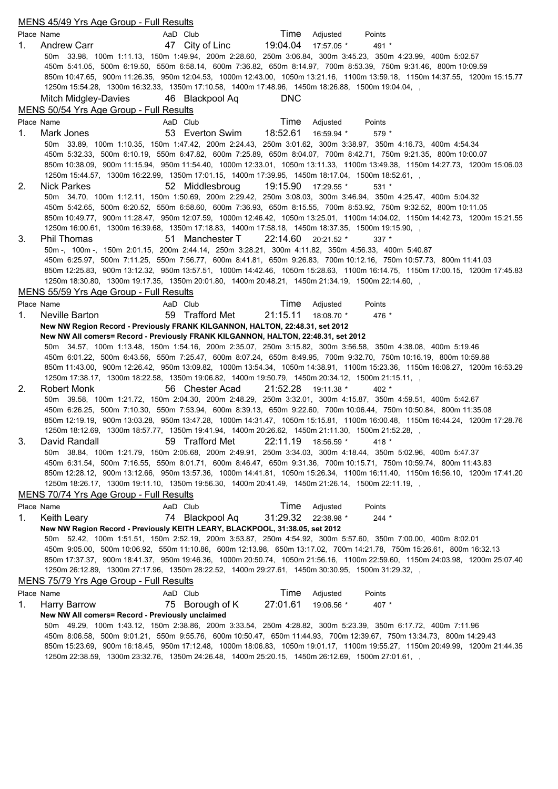|    | MENS 45/49 Yrs Age Group - Full Results                                                                                                                                                                                                         |
|----|-------------------------------------------------------------------------------------------------------------------------------------------------------------------------------------------------------------------------------------------------|
|    | Place Name<br>Time Adjusted<br>AaD Club<br>Points                                                                                                                                                                                               |
| 1. | 47 City of Linc<br>19:04.04 17:57.05 *<br><b>Andrew Carr</b><br>491 *                                                                                                                                                                           |
|    | 50m 33.98, 100m 1:11.13, 150m 1:49.94, 200m 2:28.60, 250m 3:06.84, 300m 3:45.23, 350m 4:23.99, 400m 5:02.57                                                                                                                                     |
|    | 450m 5:41.05, 500m 6:19.50, 550m 6:58.14, 600m 7:36.82, 650m 8:14.97, 700m 8:53.39, 750m 9:31.46, 800m 10:09.59                                                                                                                                 |
|    | 850m 10:47.65, 900m 11:26.35, 950m 12:04.53, 1000m 12:43.00, 1050m 13:21.16, 1100m 13:59.18, 1150m 14:37.55, 1200m 15:15.77                                                                                                                     |
|    | 1250m 15:54.28, 1300m 16:32.33, 1350m 17:10.58, 1400m 17:48.96, 1450m 18:26.88, 1500m 19:04.04, ,                                                                                                                                               |
|    | 46 Blackpool Aq<br><b>DNC</b><br>Mitch Midgley-Davies                                                                                                                                                                                           |
|    | MENS 50/54 Yrs Age Group - Full Results                                                                                                                                                                                                         |
|    | Time<br>Place Name<br>AaD Club<br>Adjusted<br>Points                                                                                                                                                                                            |
| 1. | 18:52.61<br>53 Everton Swim<br>16:59.94 *<br>Mark Jones<br>$579*$                                                                                                                                                                               |
|    | 50m 33.89, 100m 1:10.35, 150m 1:47.42, 200m 2:24.43, 250m 3:01.62, 300m 3:38.97, 350m 4:16.73, 400m 4:54.34                                                                                                                                     |
|    | 450m 5:32.33, 500m 6:10.19, 550m 6:47.82, 600m 7:25.89, 650m 8:04.07, 700m 8:42.71, 750m 9:21.35, 800m 10:00.07                                                                                                                                 |
|    | 850m 10:38.09, 900m 11:15.94, 950m 11:54.40, 1000m 12:33.01, 1050m 13:11.33, 1100m 13:49.38, 1150m 14:27.73, 1200m 15:06.03                                                                                                                     |
|    | 1250m 15:44.57, 1300m 16:22.99, 1350m 17:01.15, 1400m 17:39.95, 1450m 18:17.04, 1500m 18:52.61, ,                                                                                                                                               |
| 2. | <b>Nick Parkes</b><br>19:15.90<br>52 Middlesbroug<br>17:29.55 *<br>$531*$<br>50m 34.70, 100m 1:12.11, 150m 1:50.69, 200m 2:29.42, 250m 3:08.03, 300m 3:46.94, 350m 4:25.47, 400m 5:04.32                                                        |
|    | 450m 5:42.65, 500m 6:20.52, 550m 6:58.60, 600m 7:36.93, 650m 8:15.55, 700m 8:53.92, 750m 9:32.52, 800m 10:11.05                                                                                                                                 |
|    | 850m 10:49.77, 900m 11:28.47, 950m 12:07.59, 1000m 12:46.42, 1050m 13:25.01, 1100m 14:04.02, 1150m 14:42.73, 1200m 15:21.55                                                                                                                     |
|    | 1250m 16:00.61, 1300m 16:39.68, 1350m 17:18.83, 1400m 17:58.18, 1450m 18:37.35, 1500m 19:15.90, ,                                                                                                                                               |
| 3. | Phil Thomas<br>51 Manchester T<br>$22:14.60$ $20:21.52$ *<br>$337 *$                                                                                                                                                                            |
|    | 50m - 100m - 150m 2:01.15, 200m 2:44.14, 250m 3:28.21, 300m 4:11.82, 350m 4:56.33, 400m 5:40.87                                                                                                                                                 |
|    | 450m 6:25.97, 500m 7:11.25, 550m 7:56.77, 600m 8:41.81, 650m 9:26.83, 700m 10:12.16, 750m 10:57.73, 800m 11:41.03                                                                                                                               |
|    | 850m 12:25.83, 900m 13:12.32, 950m 13:57.51, 1000m 14:42.46, 1050m 15:28.63, 1100m 16:14.75, 1150m 17:00.15, 1200m 17:45.83                                                                                                                     |
|    | 1250m 18:30.80, 1300m 19:17.35, 1350m 20:01.80, 1400m 20:48.21, 1450m 21:34.19, 1500m 22:14.60, ,                                                                                                                                               |
|    | MENS 55/59 Yrs Age Group - Full Results                                                                                                                                                                                                         |
|    | Time<br>Place Name<br>Adjusted<br>AaD Club<br>Points                                                                                                                                                                                            |
| 1. | 59 Trafford Met<br>21:15.11<br>Neville Barton<br>18:08.70 *<br>476 *                                                                                                                                                                            |
|    | New NW Region Record - Previously FRANK KILGANNON, HALTON, 22:48.31, set 2012                                                                                                                                                                   |
|    | New NW All comers= Record - Previously FRANK KILGANNON, HALTON, 22:48.31, set 2012                                                                                                                                                              |
|    | 50m 34.57, 100m 1:13.48, 150m 1:54.16, 200m 2:35.07, 250m 3:15.82, 300m 3:56.58, 350m 4:38.08, 400m 5:19.46                                                                                                                                     |
|    | 450m 6:01.22, 500m 6:43.56, 550m 7:25.47, 600m 8:07.24, 650m 8:49.95, 700m 9:32.70, 750m 10:16.19, 800m 10:59.88<br>850m 11:43.00, 900m 12:26.42, 950m 13:09.82, 1000m 13:54.34, 1050m 14:38.91, 1100m 15:23.36, 1150m 16:08.27, 1200m 16:53.29 |
|    | 1250m 17:38.17, 1300m 18:22.58, 1350m 19:06.82, 1400m 19:50.79, 1450m 20:34.12, 1500m 21:15.11, ,                                                                                                                                               |
| 2. | 21:52.28<br>Robert Monk<br>56 Chester Acad<br>19:11.38 *<br>$402 *$                                                                                                                                                                             |
|    | 50m 39.58, 100m 1:21.72, 150m 2:04.30, 200m 2:48.29, 250m 3:32.01, 300m 4:15.87, 350m 4:59.51, 400m 5:42.67                                                                                                                                     |
|    | 450m 6:26.25, 500m 7:10.30, 550m 7:53.94, 600m 8:39.13, 650m 9:22.60, 700m 10:06.44, 750m 10:50.84, 800m 11:35.08                                                                                                                               |
|    | 850m 12:19.19, 900m 13:03.28, 950m 13:47.28, 1000m 14:31.47, 1050m 15:15.81, 1100m 16:00.48, 1150m 16:44.24, 1200m 17:28.76                                                                                                                     |
|    | 1250m 18:12.69, 1300m 18:57.77, 1350m 19:41.94, 1400m 20:26.62, 1450m 21:11.30, 1500m 21:52.28,                                                                                                                                                 |
| 3. | 59 Trafford Met<br>22:11.19 18:56.59 *<br>David Randall<br>418 *                                                                                                                                                                                |
|    | 50m 38.84, 100m 1:21.79, 150m 2:05.68, 200m 2:49.91, 250m 3:34.03, 300m 4:18.44, 350m 5:02.96, 400m 5:47.37                                                                                                                                     |
|    | 450m 6:31.54, 500m 7:16.55, 550m 8:01.71, 600m 8:46.47, 650m 9:31.36, 700m 10:15.71, 750m 10:59.74, 800m 11:43.83                                                                                                                               |
|    | 850m 12:28.12, 900m 13:12.66, 950m 13:57.36, 1000m 14:41.81, 1050m 15:26.34, 1100m 16:11.40, 1150m 16:56.10, 1200m 17:41.20                                                                                                                     |
|    | 1250m 18:26.17, 1300m 19:11.10, 1350m 19:56.30, 1400m 20:41.49, 1450m 21:26.14, 1500m 22:11.19, ,                                                                                                                                               |
|    | MENS 70/74 Yrs Age Group - Full Results                                                                                                                                                                                                         |
|    | Time<br>Adjusted<br>Place Name<br>AaD Club<br>Points                                                                                                                                                                                            |
| 1. | 31:29.32<br>74 Blackpool Aq<br>Keith Leary<br>22:38.98 *<br>$244 *$                                                                                                                                                                             |
|    | New NW Region Record - Previously KEITH LEARY, BLACKPOOL, 31:38.05, set 2012                                                                                                                                                                    |
|    | 50m 52.42, 100m 1:51.51, 150m 2:52.19, 200m 3:53.87, 250m 4:54.92, 300m 5:57.60, 350m 7:00.00, 400m 8:02.01<br>450m 9:05.00, 500m 10:06.92, 550m 11:10.86, 600m 12:13.98, 650m 13:17.02, 700m 14:21.78, 750m 15:26.61, 800m 16:32.13            |
|    | 850m 17:37.37, 900m 18:41.37, 950m 19:46.36, 1000m 20:50.74, 1050m 21:56.16, 1100m 22:59.60, 1150m 24:03.98, 1200m 25:07.40                                                                                                                     |
|    | 1250m 26:12.89, 1300m 27:17.96, 1350m 28:22.52, 1400m 29:27.61, 1450m 30:30.95, 1500m 31:29.32, ,                                                                                                                                               |
|    | MENS 75/79 Yrs Age Group - Full Results                                                                                                                                                                                                         |
|    | Time<br>AaD Club<br>Adjusted<br>Place Name<br>Points                                                                                                                                                                                            |
| 1. | 27:01.61<br>75 Borough of K<br><b>Harry Barrow</b><br>19:06.56 *<br>407 *                                                                                                                                                                       |
|    | New NW All comers= Record - Previously unclaimed                                                                                                                                                                                                |
|    | 50m 49.29, 100m 1:43.12, 150m 2:38.86, 200m 3:33.54, 250m 4:28.82, 300m 5:23.39, 350m 6:17.72, 400m 7:11.96                                                                                                                                     |
|    | 450m 8:06.58, 500m 9:01.21, 550m 9:55.76, 600m 10:50.47, 650m 11:44.93, 700m 12:39.67, 750m 13:34.73, 800m 14:29.43                                                                                                                             |
|    | 850m 15:23.69, 900m 16:18.45, 950m 17:12.48, 1000m 18:06.83, 1050m 19:01.17, 1100m 19:55.27, 1150m 20:49.99, 1200m 21:44.35                                                                                                                     |
|    | 1250m 22:38.59, 1300m 23:32.76, 1350m 24:26.48, 1400m 25:20.15, 1450m 26:12.69, 1500m 27:01.61, ,                                                                                                                                               |
|    |                                                                                                                                                                                                                                                 |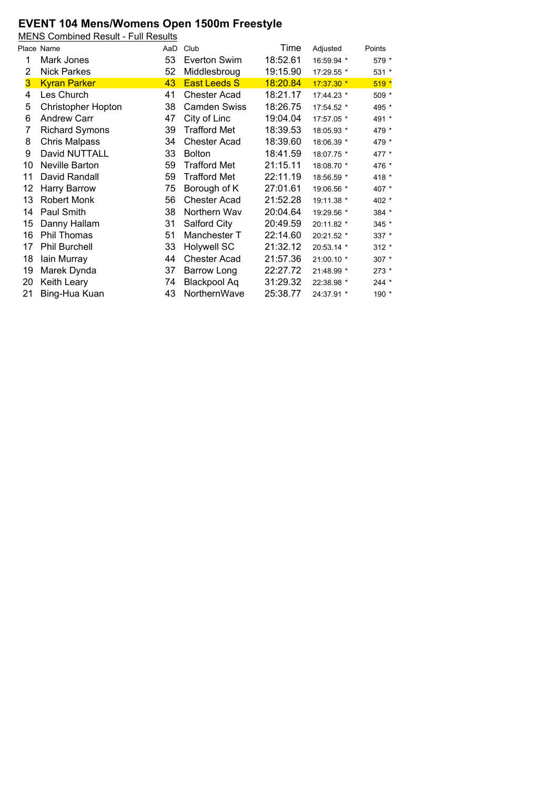### **EVENT 104 Mens/Womens Open 1500m Freestyle**

MENS Combined Result - Full Results

|                | Place Name                | AaD | Club                | Time     | Adjusted   | Points  |
|----------------|---------------------------|-----|---------------------|----------|------------|---------|
| 1              | Mark Jones                | 53  | Everton Swim        | 18:52.61 | 16:59.94 * | 579 *   |
| 2              | <b>Nick Parkes</b>        | 52  | Middlesbroug        | 19:15.90 | 17:29.55 * | $531 *$ |
| $\overline{3}$ | <b>Kyran Parker</b>       | 43  | <b>East Leeds S</b> | 18:20.84 | 17:37.30 * | $519*$  |
| 4              | Les Church                | 41  | <b>Chester Acad</b> | 18:21.17 | 17:44.23 * | 509 *   |
| 5              | <b>Christopher Hopton</b> | 38  | <b>Camden Swiss</b> | 18:26.75 | 17:54.52 * | 495 *   |
| 6              | <b>Andrew Carr</b>        | 47  | City of Linc        | 19:04.04 | 17:57.05 * | 491 *   |
| 7              | <b>Richard Symons</b>     | 39  | <b>Trafford Met</b> | 18:39.53 | 18:05.93 * | 479 *   |
| 8              | <b>Chris Malpass</b>      | 34  | <b>Chester Acad</b> | 18:39.60 | 18:06.39 * | 479 *   |
| 9              | David NUTTALL             | 33  | <b>Bolton</b>       | 18:41.59 | 18:07.75 * | 477 *   |
| 10             | Neville Barton            | 59  | <b>Trafford Met</b> | 21:15.11 | 18:08.70 * | 476 *   |
| 11             | David Randall             | 59  | <b>Trafford Met</b> | 22:11.19 | 18:56.59 * | 418 *   |
| 12             | Harry Barrow              | 75  | Borough of K        | 27:01.61 | 19:06.56 * | 407 *   |
| 13             | Robert Monk               | 56  | <b>Chester Acad</b> | 21:52.28 | 19:11.38 * | 402 *   |
| 14             | Paul Smith                | 38  | Northern Wav        | 20:04.64 | 19:29.56 * | 384 *   |
| 15             | Danny Hallam              | 31  | Salford City        | 20:49.59 | 20:11.82 * | 345 *   |
| 16             | Phil Thomas               | 51  | Manchester T        | 22:14.60 | 20:21.52 * | 337 *   |
| 17             | <b>Phil Burchell</b>      | 33  | <b>Holywell SC</b>  | 21:32.12 | 20:53.14 * | $312 *$ |
| 18             | lain Murray               | 44  | <b>Chester Acad</b> | 21:57.36 | 21:00.10 * | 307 *   |
| 19             | Marek Dynda               | 37  | Barrow Long         | 22:27.72 | 21:48.99 * | 273 *   |
| 20             | Keith Leary               | 74  | Blackpool Aq        | 31:29.32 | 22:38.98 * | $244 *$ |
| 21             | Bing-Hua Kuan             | 43  | NorthernWave        | 25:38.77 | 24:37.91 * | 190 *   |
|                |                           |     |                     |          |            |         |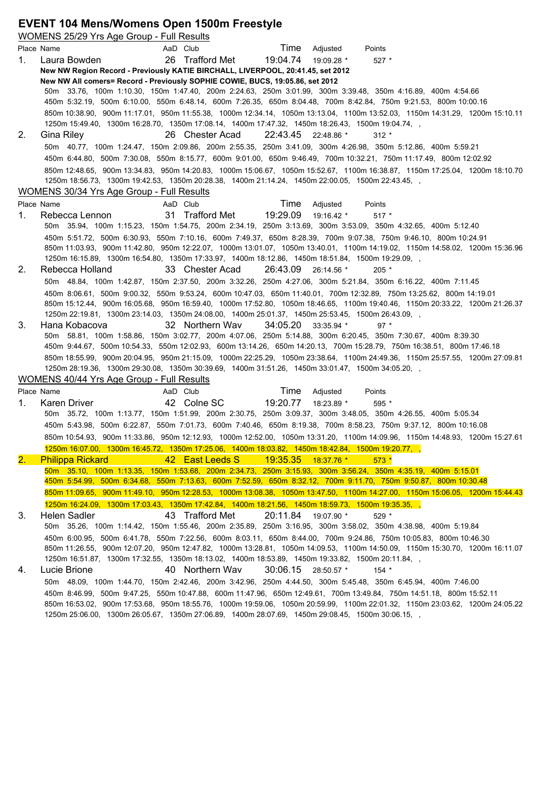## **EVENT 104 Mens/Womens Open 1500m Freestyle**

|    | <b>WOMENS 25/29 Yrs Age Group - Full Results</b>                                                                                                                                    |
|----|-------------------------------------------------------------------------------------------------------------------------------------------------------------------------------------|
|    | Time<br>AaD Club<br>Place Name<br>Adjusted<br>Points                                                                                                                                |
| 1. | 26 Trafford Met<br>19:04.74<br>Laura Bowden<br>19:09.28 *<br>$527 *$                                                                                                                |
|    | New NW Region Record - Previously KATIE BIRCHALL, LIVERPOOL, 20:41.45, set 2012                                                                                                     |
|    | New NW All comers= Record - Previously SOPHIE COWIE, BUCS, 19:05.86, set 2012                                                                                                       |
|    | 50m 33.76, 100m 1:10.30, 150m 1:47.40, 200m 2:24.63, 250m 3:01.99, 300m 3:39.48, 350m 4:16.89, 400m 4:54.66                                                                         |
|    | 450m 5:32.19, 500m 6:10.00, 550m 6:48.14, 600m 7:26.35, 650m 8:04.48, 700m 8:42.84, 750m 9:21.53, 800m 10:00.16                                                                     |
|    | 850m 10:38.90, 900m 11:17.01, 950m 11:55.38, 1000m 12:34.14, 1050m 13:13.04, 1100m 13:52.03, 1150m 14:31.29, 1200m 15:10.11                                                         |
| 2. | 1250m 15:49.40, 1300m 16:28.70, 1350m 17:08.14, 1400m 17:47.32, 1450m 18:26.43, 1500m 19:04.74, ,<br>Gina Riley<br>26 Chester Acad<br>22:43.45 22:48.86 *<br>$312 *$                |
|    | 50m 40.77, 100m 1:24.47, 150m 2:09.86, 200m 2:55.35, 250m 3:41.09, 300m 4:26.98, 350m 5:12.86, 400m 5:59.21                                                                         |
|    | 450m 6:44.80, 500m 7:30.08, 550m 8:15.77, 600m 9:01.00, 650m 9:46.49, 700m 10:32.21, 750m 11:17.49, 800m 12:02.92                                                                   |
|    | 850m 12:48.65, 900m 13:34.83, 950m 14:20.83, 1000m 15:06.67, 1050m 15:52.67, 1100m 16:38.87, 1150m 17:25.04, 1200m 18:10.70                                                         |
|    | 1250m 18:56.73, 1300m 19:42.53, 1350m 20:28.38, 1400m 21:14.24, 1450m 22:00.05, 1500m 22:43.45, ,                                                                                   |
|    | WOMENS 30/34 Yrs Age Group - Full Results                                                                                                                                           |
|    | Time<br>Place Name<br>Adjusted<br>AaD Club<br>Points                                                                                                                                |
| 1. | 31 Trafford Met<br>19:29.09<br>Rebecca Lennon<br>19:16.42 *<br>$517*$                                                                                                               |
|    | 50m 35.94, 100m 1:15.23, 150m 1:54.75, 200m 2:34.19, 250m 3:13.69, 300m 3:53.09, 350m 4:32.65, 400m 5:12.40                                                                         |
|    | 450m 5:51.72, 500m 6:30.93, 550m 7:10.16, 600m 7:49.37, 650m 8:28.39, 700m 9:07.38, 750m 9:46.10, 800m 10:24.91                                                                     |
|    | 850m 11:03.93, 900m 11:42.80, 950m 12:22.07, 1000m 13:01.07, 1050m 13:40.01, 1100m 14:19.02, 1150m 14:58.02, 1200m 15:36.96                                                         |
|    | 1250m 16:15.89, 1300m 16:54.80, 1350m 17:33.97, 1400m 18:12.86, 1450m 18:51.84, 1500m 19:29.09, ,                                                                                   |
| 2. | Rebecca Holland<br>33 Chester Acad<br>26:43.09 26:14.56 *<br>$205 *$                                                                                                                |
|    | 50m 48.84, 100m 1:42.87, 150m 2:37.50, 200m 3:32.26, 250m 4:27.06, 300m 5:21.84, 350m 6:16.22, 400m 7:11.45                                                                         |
|    | 450m 8:06.61, 500m 9:00.32, 550m 9:53.24, 600m 10:47.03, 650m 11:40.01, 700m 12:32.89, 750m 13:25.62, 800m 14:19.01                                                                 |
|    | 850m 15:12.44, 900m 16:05.68, 950m 16:59.40, 1000m 17:52.80, 1050m 18:46.65, 1100m 19:40.46, 1150m 20:33.22, 1200m 21:26.37                                                         |
|    | 1250m 22:19.81, 1300m 23:14.03, 1350m 24:08.00, 1400m 25:01.37, 1450m 25:53.45, 1500m 26:43.09, ,                                                                                   |
| 3. | Hana Kobacova<br>32 Northern Wav<br>$34:05.20$ $33:35.94$ *<br>$97*$<br>50m 58.81, 100m 1:58.86, 150m 3:02.77, 200m 4:07.06, 250m 5:14.88, 300m 6:20.45, 350m 7:30.67, 400m 8:39.30 |
|    | 450m 9:44.67, 500m 10:54.33, 550m 12:02.93, 600m 13:14.26, 650m 14:20.13, 700m 15:28.79, 750m 16:38.51, 800m 17:46.18                                                               |
|    | 850m 18:55.99, 900m 20:04.95, 950m 21:15.09, 1000m 22:25.29, 1050m 23:38.64, 1100m 24:49.36, 1150m 25:57.55, 1200m 27:09.81                                                         |
|    | 1250m 28:19.36, 1300m 29:30.08, 1350m 30:39.69, 1400m 31:51.26, 1450m 33:01.47, 1500m 34:05.20, ,                                                                                   |
|    | WOMENS 40/44 Yrs Age Group - Full Results                                                                                                                                           |
|    | Time<br>Place Name<br>AaD Club<br>Adjusted<br>Points                                                                                                                                |
| 1. | 42 Colne SC<br>19:20.77<br>Karen Driver<br>18:23.89 *<br>$595*$                                                                                                                     |
|    | 50m 35.72, 100m 1:13.77, 150m 1:51.99, 200m 2:30.75, 250m 3:09.37, 300m 3:48.05, 350m 4:26.55, 400m 5:05.34                                                                         |
|    | 450m 5:43.98, 500m 6:22.87, 550m 7:01.73, 600m 7:40.46, 650m 8:19.38, 700m 8:58.23, 750m 9:37.12, 800m 10:16.08                                                                     |
|    | 850m 10:54.93, 900m 11:33.86, 950m 12:12.93, 1000m 12:52.00, 1050m 13:31.20, 1100m 14:09.96, 1150m 14:48.93, 1200m 15:27.61                                                         |
|    | 1250m 16:07.00, 1300m 16:45.72, 1350m 17:25.06, 1400m 18:03.82, 1450m 18:42.84, 1500m 19:20.77, ,                                                                                   |
| 2. | 19:35.35 18:37.76 *<br><b>Philippa Rickard</b><br>42 East Leeds S<br>$573*$                                                                                                         |
|    | 50m 35.10, 100m 1:13.35, 150m 1:53.68, 200m 2:34.73, 250m 3:15.93, 300m 3:56.24, 350m 4:35.19, 400m 5:15.01                                                                         |
|    | 450m 5:54.99, 500m 6:34.68, 550m 7:13.63, 600m 7:52.59, 650m 8:32.12, 700m 9:11.70, 750m 9:50.87, 800m 10:30.48                                                                     |
|    | 850m 11:09.65, 900m 11:49.10, 950m 12:28.53, 1000m 13:08.38, 1050m 13:47.50, 1100m 14:27.00, 1150m 15:06.05, 1200m 15:44.43                                                         |
| 3. | 1250m 16:24.09, 1300m 17:03.43, 1350m 17:42.84, 1400m 18:21.56, 1450m 18:59.73, 1500m 19:35.35,<br>43 Trafford Met<br>Helen Sadler<br>20:11.84<br>$529*$                            |
|    | 19:07.90 *<br>50m 35.26, 100m 1:14.42, 150m 1:55.46, 200m 2:35.89, 250m 3:16.95, 300m 3:58.02, 350m 4:38.98, 400m 5:19.84                                                           |
|    | 450m 6:00.95, 500m 6:41.78, 550m 7:22.56, 600m 8:03.11, 650m 8:44.00, 700m 9:24.86, 750m 10:05.83, 800m 10:46.30                                                                    |
|    | 850m 11:26.55, 900m 12:07.20, 950m 12:47.82, 1000m 13:28.81, 1050m 14:09.53, 1100m 14:50.09, 1150m 15:30.70, 1200m 16:11.07                                                         |
|    | 1250m 16:51.87, 1300m 17:32.55, 1350m 18:13.02, 1400m 18:53.89, 1450m 19:33.82, 1500m 20:11.84, ,                                                                                   |
| 4. | 40 Northern Wav<br>Lucie Brione<br>30:06.15<br>28:50.57 *<br>$154$ *                                                                                                                |
|    | 50m 48.09, 100m 1:44.70, 150m 2:42.46, 200m 3:42.96, 250m 4:44.50, 300m 5:45.48, 350m 6:45.94, 400m 7:46.00                                                                         |
|    | 450m 8:46.99, 500m 9:47.25, 550m 10:47.88, 600m 11:47.96, 650m 12:49.61, 700m 13:49.84, 750m 14:51.18, 800m 15:52.11                                                                |
|    | 850m 16:53.02, 900m 17:53.68, 950m 18:55.76, 1000m 19:59.06, 1050m 20:59.99, 1100m 22:01.32, 1150m 23:03.62, 1200m 24:05.22                                                         |
|    | 1250m 25:06.00, 1300m 26:05.67, 1350m 27:06.89, 1400m 28:07.69, 1450m 29:08.45, 1500m 30:06.15, ,                                                                                   |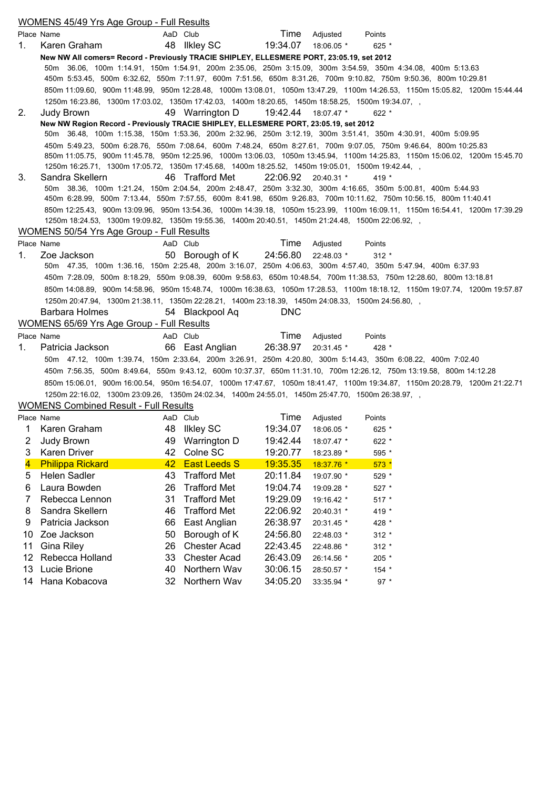|             | <b>WOMENS 45/49 Yrs Age Group - Full Results</b>                                                                    |          |                                     |                             |               |                   |                                                                                                                             |
|-------------|---------------------------------------------------------------------------------------------------------------------|----------|-------------------------------------|-----------------------------|---------------|-------------------|-----------------------------------------------------------------------------------------------------------------------------|
|             | Place Name                                                                                                          | AaD Club |                                     |                             | Time Adjusted | Points            |                                                                                                                             |
| $1_{\cdot}$ | Karen Graham                                                                                                        |          | 48 Ilkley SC                        | 19:34.07 18:06.05 *         |               | $625 *$           |                                                                                                                             |
|             | New NW All comers= Record - Previously TRACIE SHIPLEY, ELLESMERE PORT, 23:05.19, set 2012                           |          |                                     |                             |               |                   |                                                                                                                             |
|             | 50m 36.06, 100m 1:14.91, 150m 1:54.91, 200m 2:35.06, 250m 3:15.09, 300m 3:54.59, 350m 4:34.08, 400m 5:13.63         |          |                                     |                             |               |                   |                                                                                                                             |
|             | 450m 5:53.45, 500m 6:32.62, 550m 7:11.97, 600m 7:51.56, 650m 8:31.26, 700m 9:10.82, 750m 9:50.36, 800m 10:29.81     |          |                                     |                             |               |                   |                                                                                                                             |
|             |                                                                                                                     |          |                                     |                             |               |                   | 850m 11:09.60, 900m 11:48.99, 950m 12:28.48, 1000m 13:08.01, 1050m 13:47.29, 1100m 14:26.53, 1150m 15:05.82, 1200m 15:44.44 |
|             | 1250m 16:23.86, 1300m 17:03.02, 1350m 17:42.03, 1400m 18:20.65, 1450m 18:58.25, 1500m 19:34.07, ,                   |          |                                     |                             |               |                   |                                                                                                                             |
| 2.          | Judy Brown<br>New NW Region Record - Previously TRACIE SHIPLEY, ELLESMERE PORT, 23:05.19, set 2012                  |          | 49 Warrington D                     | 19:42.44                    | 18:07.47 *    | $622 *$           |                                                                                                                             |
|             | 50m 36.48, 100m 1:15.38, 150m 1:53.36, 200m 2:32.96, 250m 3:12.19, 300m 3:51.41, 350m 4:30.91, 400m 5:09.95         |          |                                     |                             |               |                   |                                                                                                                             |
|             | 450m 5:49.23, 500m 6:28.76, 550m 7:08.64, 600m 7:48.24, 650m 8:27.61, 700m 9:07.05, 750m 9:46.64, 800m 10:25.83     |          |                                     |                             |               |                   |                                                                                                                             |
|             |                                                                                                                     |          |                                     |                             |               |                   | 850m 11:05.75, 900m 11:45.78, 950m 12:25.96, 1000m 13:06.03, 1050m 13:45.94, 1100m 14:25.83, 1150m 15:06.02, 1200m 15:45.70 |
|             | 1250m 16:25.71, 1300m 17:05.72, 1350m 17:45.68, 1400m 18:25.52, 1450m 19:05.01, 1500m 19:42.44, ,                   |          |                                     |                             |               |                   |                                                                                                                             |
| 3.          | Sandra Skellern                                                                                                     |          | 46 Trafford Met                     | 22:06.92 20:40.31 *         |               | 419 $*$           |                                                                                                                             |
|             | 50m 38.36, 100m 1:21.24, 150m 2:04.54, 200m 2:48.47, 250m 3:32.30, 300m 4:16.65, 350m 5:00.81, 400m 5:44.93         |          |                                     |                             |               |                   |                                                                                                                             |
|             | 450m 6:28.99, 500m 7:13.44, 550m 7:57.55, 600m 8:41.98, 650m 9:26.83, 700m 10:11.62, 750m 10:56.15, 800m 11:40.41   |          |                                     |                             |               |                   |                                                                                                                             |
|             |                                                                                                                     |          |                                     |                             |               |                   | 850m 12:25.43, 900m 13:09.96, 950m 13:54.36, 1000m 14:39.18, 1050m 15:23.99, 1100m 16:09.11, 1150m 16:54.41, 1200m 17:39.29 |
|             | 1250m 18:24.53, 1300m 19:09.82, 1350m 19:55.36, 1400m 20:40.51, 1450m 21:24.48, 1500m 22:06.92, ,                   |          |                                     |                             |               |                   |                                                                                                                             |
|             | WOMENS 50/54 Yrs Age Group - Full Results                                                                           | AaD Club |                                     |                             |               |                   |                                                                                                                             |
| 1.          | Place Name<br>Zoe Jackson                                                                                           |          | 50 Borough of K                     | Time<br>24:56.80 22:48.03 * | Adjusted      | Points<br>$312 *$ |                                                                                                                             |
|             | 50m 47.35, 100m 1:36.16, 150m 2:25.48, 200m 3:16.07, 250m 4:06.63, 300m 4:57.40, 350m 5:47.94, 400m 6:37.93         |          |                                     |                             |               |                   |                                                                                                                             |
|             | 450m 7:28.09, 500m 8:18.29, 550m 9:08.39, 600m 9:58.63, 650m 10:48.54, 700m 11:38.53, 750m 12:28.60, 800m 13:18.81  |          |                                     |                             |               |                   |                                                                                                                             |
|             |                                                                                                                     |          |                                     |                             |               |                   | 850m 14:08.89, 900m 14:58.96, 950m 15:48.74, 1000m 16:38.63, 1050m 17:28.53, 1100m 18:18.12, 1150m 19:07.74, 1200m 19:57.87 |
|             | 1250m 20:47.94, 1300m 21:38.11, 1350m 22:28.21, 1400m 23:18.39, 1450m 24:08.33, 1500m 24:56.80, ,                   |          |                                     |                             |               |                   |                                                                                                                             |
|             | Barbara Holmes                                                                                                      |          | 54 Blackpool Aq                     | <b>DNC</b>                  |               |                   |                                                                                                                             |
|             | <b>WOMENS 65/69 Yrs Age Group - Full Results</b>                                                                    |          |                                     |                             |               |                   |                                                                                                                             |
|             | Place Name                                                                                                          | AaD Club |                                     | Time                        | Adjusted      | Points            |                                                                                                                             |
| 1.          | Patricia Jackson                                                                                                    |          | 66 East Anglian                     | 26:38.97                    | 20:31.45 *    | 428 *             |                                                                                                                             |
|             | 50m 47.12, 100m 1:39.74, 150m 2:33.64, 200m 3:26.91, 250m 4:20.80, 300m 5:14.43, 350m 6:08.22, 400m 7:02.40         |          |                                     |                             |               |                   |                                                                                                                             |
|             | 450m 7:56.35, 500m 8:49.64, 550m 9:43.12, 600m 10:37.37, 650m 11:31.10, 700m 12:26.12, 750m 13:19.58, 800m 14:12.28 |          |                                     |                             |               |                   |                                                                                                                             |
|             |                                                                                                                     |          |                                     |                             |               |                   | 850m 15:06.01, 900m 16:00.54, 950m 16:54.07, 1000m 17:47.67, 1050m 18:41.47, 1100m 19:34.87, 1150m 20:28.79, 1200m 21:22.71 |
|             | 1250m 22:16.02, 1300m 23:09.26, 1350m 24:02.34, 1400m 24:55.01, 1450m 25:47.70, 1500m 26:38.97, ,                   |          |                                     |                             |               |                   |                                                                                                                             |
|             | <b>WOMENS Combined Result - Full Results</b>                                                                        |          |                                     |                             |               |                   |                                                                                                                             |
|             | Place Name                                                                                                          | AaD Club |                                     | Time                        | Adjusted      | Points            |                                                                                                                             |
| 1           | Karen Graham                                                                                                        |          | 48 Ilkley SC                        | 19:34.07                    | 18:06.05 *    | $625*$            |                                                                                                                             |
| 2           | Judy Brown                                                                                                          | 49       | Warrington D                        | 19:42.44                    | 18:07.47 *    | 622 *             |                                                                                                                             |
| 3           | <b>Karen Driver</b>                                                                                                 | 42       | Colne SC                            | 19:20.77                    | 18:23.89 *    | 595 *             |                                                                                                                             |
| 4           | <b>Philippa Rickard</b>                                                                                             | 42       | <b>East Leeds S</b>                 | 19:35.35                    | 18:37.76 *    | $573*$            |                                                                                                                             |
| 5           | <b>Helen Sadler</b>                                                                                                 | 43       | <b>Trafford Met</b>                 | 20:11.84                    | 19:07.90 *    | 529 *             |                                                                                                                             |
| 6           | Laura Bowden                                                                                                        | 26       | <b>Trafford Met</b>                 | 19:04.74                    | 19:09.28 *    | 527 *             |                                                                                                                             |
| 7           | Rebecca Lennon                                                                                                      | 31       | <b>Trafford Met</b>                 | 19:29.09                    | 19:16.42 *    | 517 *             |                                                                                                                             |
| 8           | Sandra Skellern                                                                                                     | 46       | <b>Trafford Met</b>                 | 22:06.92                    | 20:40.31 *    | 419 *             |                                                                                                                             |
| 9           | Patricia Jackson                                                                                                    | 66       | East Anglian                        | 26:38.97                    | 20:31.45 *    | 428 *             |                                                                                                                             |
| 10<br>11    | Zoe Jackson                                                                                                         | 50       | Borough of K<br><b>Chester Acad</b> | 24:56.80                    | 22:48.03 *    | $312 *$           |                                                                                                                             |
| 12          | <b>Gina Riley</b><br>Rebecca Holland                                                                                | 26<br>33 | <b>Chester Acad</b>                 | 22:43.45<br>26:43.09        | 22:48.86 *    | $312 *$           |                                                                                                                             |
| 13          | Lucie Brione                                                                                                        | 40       | Northern Wav                        | 30:06.15                    | 26:14.56 *    | 205 *<br>154 *    |                                                                                                                             |
| 14          |                                                                                                                     |          |                                     |                             | 28:50.57 *    |                   |                                                                                                                             |
|             | Hana Kobacova                                                                                                       | 32       | Northern Wav                        | 34:05.20                    | 33:35.94 *    | $97 *$            |                                                                                                                             |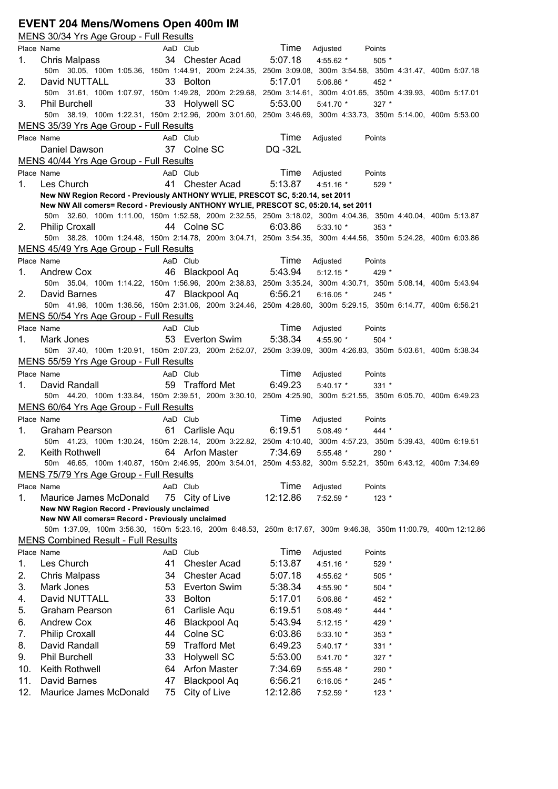#### **EVENT 204 Mens/Womens Open 400m IM**

MENS 30/34 Yrs Age Group - Full Results Place Name **AaD Club Time** Adjusted Points 1. Chris Malpass 34 Chester Acad 5:07.18 4:55.62 \* 505 \* 50m 30.05, 100m 1:05.36, 150m 1:44.91, 200m 2:24.35, 250m 3:09.08, 300m 3:54.58, 350m 4:31.47, 400m 5:07.18 2. David NUTTALL 33 Bolton 5:17.01 5:06.86 \* 452 \* 50m 31.61, 100m 1:07.97, 150m 1:49.28, 200m 2:29.68, 250m 3:14.61, 300m 4:01.65, 350m 4:39.93, 400m 5:17.01 3. Phil Burchell 33 Holywell SC 5:53.00 5:41.70 \* 327 \* 50m 38.19, 100m 1:22.31, 150m 2:12.96, 200m 3:01.60, 250m 3:46.69, 300m 4:33.73, 350m 5:14.00, 400m 5:53.00 MENS 35/39 Yrs Age Group - Full Results Place Name **AaD Club Time** Adjusted Points Daniel Dawson 37 Colne SC DQ -32L MENS 40/44 Yrs Age Group - Full Results Place Name **AaD Club Time** Adjusted Points 1. Les Church 41 Chester Acad 5:13.87 4:51.16 \* 529 \* **New NW Region Record - Previously ANTHONY WYLIE, PRESCOT SC, 5:20.14, set 2011 New NW All comers= Record - Previously ANTHONY WYLIE, PRESCOT SC, 05:20.14, set 2011** 50m 32.60, 100m 1:11.00, 150m 1:52.58, 200m 2:32.55, 250m 3:18.02, 300m 4:04.36, 350m 4:40.04, 400m 5:13.87 2. Philip Croxall 44 Colne SC 6:03.86 5:33.10 \* 353 \* 50m 38.28, 100m 1:24.48, 150m 2:14.78, 200m 3:04.71, 250m 3:54.35, 300m 4:44.56, 350m 5:24.28, 400m 6:03.86 MENS 45/49 Yrs Age Group - Full Results Place Name **AaD** Club **Time** Adjusted Points 1. Andrew Cox 46 Blackpool Aq 5:43.94 5:12.15 \* 429 \* 50m 35.04, 100m 1:14.22, 150m 1:56.96, 200m 2:38.83, 250m 3:35.24, 300m 4:30.71, 350m 5:08.14, 400m 5:43.94 2. David Barnes 47 Blackpool Aq 6:56.21 6:16.05 \* 245 \* 50m 41.98, 100m 1:36.56, 150m 2:31.06, 200m 3:24.46, 250m 4:28.60, 300m 5:29.15, 350m 6:14.77, 400m 6:56.21 MENS 50/54 Yrs Age Group - Full Results Place Name **AaD Club Time** Adjusted Points 1. Mark Jones 53 Everton Swim 5:38.34 4:55.90 \* 504 \* 50m 37.40, 100m 1:20.91, 150m 2:07.23, 200m 2:52.07, 250m 3:39.09, 300m 4:26.83, 350m 5:03.61, 400m 5:38.34 MENS 55/59 Yrs Age Group - Full Results Place Name **AaD Club Time** Adjusted Points 1. David Randall 59 Trafford Met 6:49.23 5:40.17 \* 331 \* 50m 44.20, 100m 1:33.84, 150m 2:39.51, 200m 3:30.10, 250m 4:25.90, 300m 5:21.55, 350m 6:05.70, 400m 6:49.23 MENS 60/64 Yrs Age Group - Full Results Place Name **AaD Club Time** Adjusted Points 1. Graham Pearson 61 Carlisle Aqu 6:19.51 5:08.49 \* 444 \* 50m 41.23, 100m 1:30.24, 150m 2:28.14, 200m 3:22.82, 250m 4:10.40, 300m 4:57.23, 350m 5:39.43, 400m 6:19.51 2. Keith Rothwell 64 Arfon Master 7:34.69 5:55.48 \* 290 \* 50m 46.65, 100m 1:40.87, 150m 2:46.95, 200m 3:54.01, 250m 4:53.82, 300m 5:52.21, 350m 6:43.12, 400m 7:34.69 MENS 75/79 Yrs Age Group - Full Results Place Name **AaD** Club Time Adjusted Points 1. Maurice James McDonald 75 City of Live 12:12.86 7:52.59 \* 123 \* **New NW Region Record - Previously unclaimed New NW All comers= Record - Previously unclaimed** 50m 1:37.09, 100m 3:56.30, 150m 5:23.16, 200m 6:48.53, 250m 8:17.67, 300m 9:46.38, 350m 11:00.79, 400m 12:12.86 MENS Combined Result - Full Results Place Name **AaD Club Time** Adjusted Points 1. Les Church 41 Chester Acad 5:13.87 4:51.16 \* 529 \* 2. Chris Malpass 34 Chester Acad 5:07.18 4:55.62 \* 505 \* 3. Mark Jones 53 Everton Swim 5:38.34 4:55.90 \* 504 \* 4. David NUTTALL 33 Bolton 5:17.01 5:06.86 \* 452 \* 5. Graham Pearson 61 Carlisle Aqu 6:19.51 5:08.49 \* 444 \* 6. Andrew Cox 46 Blackpool Aq 5:43.94 5:12.15 \* 429 \* 7. Philip Croxall 44 Colne SC 6:03.86 5:33.10 \* 353 \* 8. David Randall 59 Trafford Met 6:49.23 5:40.17 \* 331 \* 9. Phil Burchell 33 Holywell SC 5:53.00 5:41.70 \* 327 \* 10. Keith Rothwell 64 Arfon Master 7:34.69 5:55.48 \* 290 \* 11. David Barnes 47 Blackpool Aq 6:56.21 6:16.05 \* 245 \* 12. Maurice James McDonald 75 City of Live 12:12.86 7:52.59 \* 123 \*